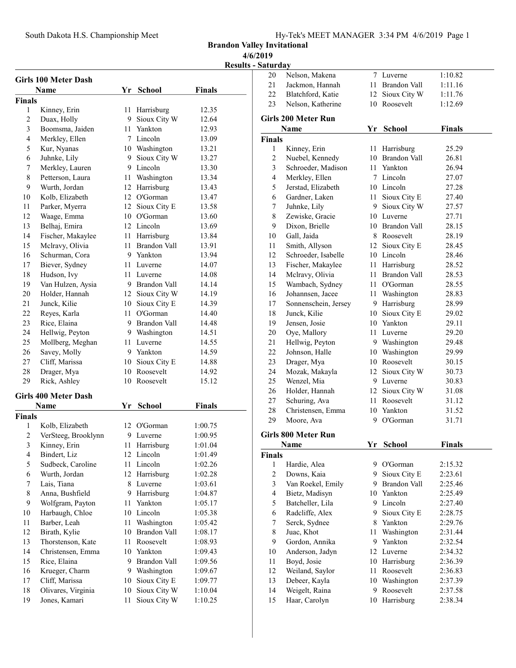South Dakota H.S. Championship Meet Hy-Tek's MEET MANAGER 3:34 PM 4/6/2019 Page 1

Brandon Valley Invitational

4/6/2019

Results - Saturday

| Girls 100 Meter Dash |                                        |    |                     |                    |  |  |
|----------------------|----------------------------------------|----|---------------------|--------------------|--|--|
|                      | Name                                   |    | Yr School           | Finals             |  |  |
| Finals               |                                        |    |                     |                    |  |  |
| 1                    | Kinney, Erin                           | 11 | Harrisburg          | 12.35              |  |  |
| $\overline{c}$       | Duax, Holly                            | 9. | Sioux City W        | 12.64              |  |  |
| 3                    | Boomsma, Jaiden                        | 11 | Yankton             | 12.93              |  |  |
| $\overline{4}$       | Merkley, Ellen                         |    | 7 Lincoln           | 13.09              |  |  |
| 5                    | Kur, Nyanas                            |    | 10 Washington       | 13.21              |  |  |
| 6                    | Juhnke, Lily                           |    | 9 Sioux City W      | 13.27              |  |  |
| 7                    | Merkley, Lauren                        |    | 9 Lincoln           | 13.30              |  |  |
| 8                    | Petterson, Laura                       |    | 11 Washington       | 13.34              |  |  |
| 9                    | Wurth, Jordan                          | 12 | Harrisburg          | 13.43              |  |  |
| 10                   | Kolb, Elizabeth                        |    | 12 O'Gorman         | 13.47              |  |  |
| 11                   | Parker, Myerra                         |    | 12 Sioux City E     | 13.58              |  |  |
| 12                   | Waage, Emma                            |    | 10 O'Gorman         | 13.60              |  |  |
| 13                   | Belhaj, Emira                          |    | 12 Lincoln          | 13.69              |  |  |
| 14                   | Fischer, Makaylee                      |    | 11 Harrisburg       | 13.84              |  |  |
| 15                   | Melravy, Olivia                        |    | 11 Brandon Vall     | 13.91              |  |  |
| 16                   | Schurman, Cora                         |    | 9 Yankton           | 13.94              |  |  |
| 17                   | Biever, Sydney                         |    | 11 Luverne          | 14.07              |  |  |
| 18                   | Hudson, Ivy                            |    | 11 Luverne          | 14.08              |  |  |
| 19                   | Van Hulzen, Aysia                      |    | 9 Brandon Vall      | 14.14              |  |  |
| 20                   | Holder, Hannah                         |    | 12 Sioux City W     | 14.19              |  |  |
| 21                   | Junck, Kilie                           |    | 10 Sioux City E     | 14.39              |  |  |
| 22                   | Reyes, Karla                           | 11 | O'Gorman            | 14.40              |  |  |
| 23                   | Rice, Elaina                           |    | 9 Brandon Vall      | 14.48              |  |  |
| 24                   | Hellwig, Peyton                        |    | 9 Washington        | 14.51              |  |  |
| 25                   | Mollberg, Meghan                       |    | 11 Luverne          | 14.55              |  |  |
| 26                   | Savey, Molly                           |    | 9 Yankton           | 14.59              |  |  |
| 27                   | Cliff, Marissa                         |    | 10 Sioux City E     | 14.88              |  |  |
| 28                   | Drager, Mya                            | 10 | Roosevelt           | 14.92              |  |  |
| 29                   | Rick, Ashley                           | 10 | Roosevelt           | 15.12              |  |  |
|                      |                                        |    |                     |                    |  |  |
|                      | <b>Girls 400 Meter Dash</b>            |    |                     |                    |  |  |
|                      | Name                                   | Yr | School              | <b>Finals</b>      |  |  |
| Finals<br>1          |                                        |    | 12 O'Gorman         |                    |  |  |
| $\overline{2}$       | Kolb, Elizabeth<br>VerSteeg, Brooklynn | 9  | Luverne             | 1:00.75<br>1:00.95 |  |  |
| 3                    | Kinney, Erin                           | 11 | Harrisburg          | 1:01.04            |  |  |
| 4                    | Bindert, Liz                           | 12 | Lincoln             | 1:01.49            |  |  |
| 5                    | Sudbeck, Caroline                      | 11 | Lincoln             | 1:02.26            |  |  |
| 6                    | Wurth, Jordan                          | 12 | Harrisburg          | 1:02.28            |  |  |
| 7                    | Lais, Tiana                            | 8  | Luverne             | 1:03.61            |  |  |
| 8                    | Anna, Bushfield                        | 9  | Harrisburg          | 1:04.87            |  |  |
| 9                    | Wolfgram, Payton                       | 11 | Yankton             | 1:05.17            |  |  |
| 10                   | Harbaugh, Chloe                        | 10 | Lincoln             | 1:05.38            |  |  |
| 11                   | Barber, Leah                           | 11 | Washington          | 1:05.42            |  |  |
| 12                   | Birath, Kylie                          | 10 | <b>Brandon Vall</b> |                    |  |  |
| 13                   | Thorstenson, Kate                      | 11 | Roosevelt           | 1:08.17<br>1:08.93 |  |  |
| 14                   | Christensen, Emma                      | 10 | Yankton             | 1:09.43            |  |  |
| 15                   | Rice, Elaina                           | 9  | Brandon Vall        | 1:09.56            |  |  |
| 16                   | Krueger, Charm                         | 9  | Washington          | 1:09.67            |  |  |
| 17                   | Cliff, Marissa                         | 10 | Sioux City E        | 1:09.77            |  |  |
| 18                   | Olivares, Virginia                     | 10 | Sioux City W        | 1:10.04            |  |  |
| 19                   | Jones, Kamari                          | 11 | Sioux City W        |                    |  |  |
|                      |                                        |    |                     | 1:10.25            |  |  |

| 20             | Nelson, Makena             |    | 7 Luverne       | 1:10.82       |
|----------------|----------------------------|----|-----------------|---------------|
| 21             | Jackmon, Hannah            |    | 11 Brandon Vall | 1:11.16       |
| 22             | Blatchford, Katie          | 12 | Sioux City W    | 1:11.76       |
| 23             | Nelson, Katherine          |    | 10 Roosevelt    | 1:12.69       |
|                |                            |    |                 |               |
|                | <b>Girls 200 Meter Run</b> |    |                 |               |
|                | Name                       |    | Yr School       | <b>Finals</b> |
| <b>Finals</b>  |                            |    |                 |               |
| 1              | Kinney, Erin               | 11 | Harrisburg      | 25.29         |
| $\overline{c}$ | Nuebel, Kennedy            | 10 | Brandon Vall    | 26.81         |
| 3              | Schroeder, Madison         | 11 | Yankton         | 26.94         |
| 4              | Merkley, Ellen             |    | 7 Lincoln       | 27.07         |
| 5              | Jerstad, Elizabeth         |    | 10 Lincoln      | 27.28         |
| 6              | Gardner, Laken             | 11 | Sioux City E    | 27.40         |
| 7              | Juhnke, Lily               |    | 9 Sioux City W  | 27.57         |
| 8              | Zewiske, Gracie            |    | 10 Luverne      | 27.71         |
| 9              | Dixon, Brielle             |    | 10 Brandon Vall | 28.15         |
| 10             | Gall, Jaida                |    | 8 Roosevelt     | 28.19         |
| 11             | Smith, Allyson             |    | 12 Sioux City E | 28.45         |
| 12             | Schroeder, Isabelle        |    | 10 Lincoln      | 28.46         |
| 13             | Fischer, Makaylee          |    | 11 Harrisburg   | 28.52         |
| 14             | Mclravy, Olivia            |    | 11 Brandon Vall | 28.53         |
| 15             | Wambach, Sydney            |    | 11 O'Gorman     | 28.55         |
| 16             | Johannsen, Jacee           | 11 | Washington      | 28.83         |
| 17             | Sonnenschein, Jersey       |    | 9 Harrisburg    | 28.99         |
| 18             | Junck, Kilie               | 10 | Sioux City E    | 29.02         |
| 19             | Jensen, Josie              |    | 10 Yankton      | 29.11         |
| 20             | Oye, Mallory               |    | 11 Luverne      | 29.20         |
| 21             | Hellwig, Peyton            |    | 9 Washington    | 29.48         |
| 22             | Johnson, Halle             |    | 10 Washington   | 29.99         |
| 23             | Drager, Mya                |    | 10 Roosevelt    | 30.15         |
| 24             | Mozak, Makayla             | 12 | Sioux City W    | 30.73         |
| 25             | Wenzel, Mia                |    | 9 Luverne       | 30.83         |
| 26             | Holder, Hannah             | 12 | Sioux City W    | 31.08         |
| 27             | Schuring, Ava              | 11 | Roosevelt       | 31.12         |
| 28             | Christensen, Emma          |    | 10 Yankton      | 31.52         |
| 29             | Moore, Ava                 | 9. | O'Gorman        | 31.71         |
|                |                            |    |                 |               |
|                | <b>Girls 800 Meter Run</b> |    |                 |               |
|                | <b>Name</b>                | Yr | <b>School</b>   | <b>Finals</b> |
| <b>Finals</b>  |                            |    |                 |               |
| 1              | Hardie, Alea               |    | 9 O'Gorman      | 2:15.32       |
| $\overline{c}$ | Downs, Kaia                |    | 9 Sioux City E  | 2:23.61       |
| 3              | Van Roekel, Emily          |    | 9 Brandon Vall  | 2:25.46       |
| $\overline{4}$ | Bietz, Madisyn             |    | 10 Yankton      | 2:25.49       |
| 5              | Batcheller, Lila           |    | 9 Lincoln       | 2:27.40       |
| 6              | Radcliffe, Alex            | 9  | Sioux City E    | 2:28.75       |
| 7              | Serck, Sydnee              | 8  | Yankton         | 2:29.76       |
| 8              | Juac, Khot                 | 11 | Washington      | 2:31.44       |
| 9              | Gordon, Annika             | 9  | Yankton         | 2:32.54       |
| 10             | Anderson, Jadyn            | 12 | Luverne         | 2:34.32       |
| 11             | Boyd, Josie                | 10 | Harrisburg      | 2:36.39       |
| 12             | Weiland, Saylor            | 11 | Roosevelt       | 2:36.83       |
| 13             | Debeer, Kayla              |    | 10 Washington   | 2:37.39       |
| 14             | Weigelt, Raina             | 9  | Roosevelt       | 2:37.58       |
| 15             | Haar, Carolyn              | 10 | Harrisburg      | 2:38.34       |
|                |                            |    |                 |               |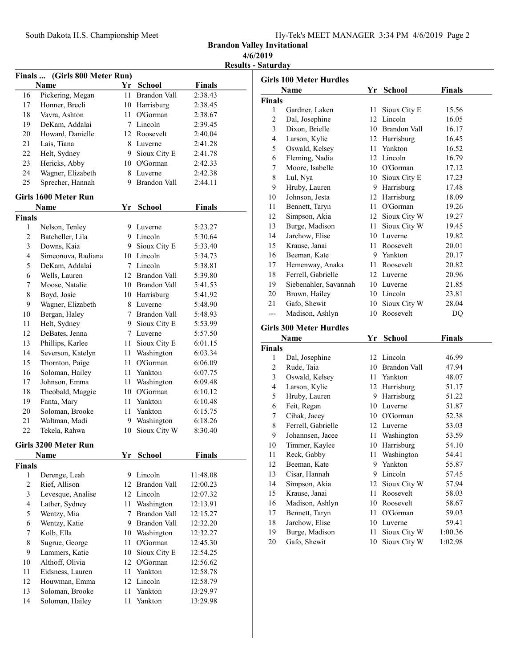| Hy-Tek's MEET MANAGER 3:34 PM 4/6/2019 Page 2 |  |  |  |  |  |
|-----------------------------------------------|--|--|--|--|--|
|-----------------------------------------------|--|--|--|--|--|

Brandon Valley Invitational 4/6/2019

Results - Saturday

|                    | Finals  (Girls 800 Meter Run) |      |                     |               |  |  |  |
|--------------------|-------------------------------|------|---------------------|---------------|--|--|--|
|                    | Name                          |      | Yr School           | Finals        |  |  |  |
| 16                 | Pickering, Megan              | 11 - | <b>Brandon Vall</b> | 2:38.43       |  |  |  |
| 17                 | Honner, Brecli                |      | 10 Harrisburg       | 2:38.45       |  |  |  |
| 18                 | Vavra, Ashton                 | 11 - | O'Gorman            | 2:38.67       |  |  |  |
| 19                 | DeKam, Addalai                |      | 7 Lincoln           | 2:39.45       |  |  |  |
| 20                 | Howard, Danielle              |      | 12 Roosevelt        | 2:40.04       |  |  |  |
| 21                 | Lais, Tiana                   |      | 8 Luverne           | 2:41.28       |  |  |  |
| 22                 | Helt, Sydney                  |      | 9 Sioux City E      | 2:41.78       |  |  |  |
| 23                 | Hericks, Abby                 |      | 10 O'Gorman         | 2:42.33       |  |  |  |
| 24                 | Wagner, Elizabeth             |      | 8 Luverne           | 2:42.38       |  |  |  |
| 25                 | Sprecher, Hannah              |      | 9 Brandon Vall      | 2:44.11       |  |  |  |
|                    | <b>Girls 1600 Meter Run</b>   |      |                     |               |  |  |  |
|                    | Name                          | Yr   | <b>School</b>       | Finals        |  |  |  |
| <b>Finals</b>      |                               |      |                     |               |  |  |  |
| 1                  | Nelson, Tenley                |      | 9 Luverne           | 5:23.27       |  |  |  |
| $\overline{c}$     | Batcheller, Lila              |      | 9 Lincoln           | 5:30.64       |  |  |  |
| 3                  | Downs, Kaia                   | 9.   | Sioux City E        | 5:33.40       |  |  |  |
| 4                  | Simeonova, Radiana            |      | 10 Lincoln          | 5:34.73       |  |  |  |
| 5                  | DeKam, Addalai                |      | 7 Lincoln           | 5:38.81       |  |  |  |
| 6                  | Wells, Lauren                 |      | 12 Brandon Vall     | 5:39.80       |  |  |  |
| 7                  | Moose, Natalie                |      | 10 Brandon Vall     | 5:41.53       |  |  |  |
| 8                  | Boyd, Josie                   |      | 10 Harrisburg       | 5:41.92       |  |  |  |
| 9                  | Wagner, Elizabeth             |      | 8 Luverne           | 5:48.90       |  |  |  |
| 10                 | Bergan, Haley                 |      | 7 Brandon Vall      | 5:48.93       |  |  |  |
| 11                 | Helt, Sydney                  |      | 9 Sioux City E      | 5:53.99       |  |  |  |
| 12                 | DeBates, Jenna                |      | 7 Luverne           | 5:57.50       |  |  |  |
| 13                 | Phillips, Karlee              | 11   | Sioux City E        | 6:01.15       |  |  |  |
| 14                 | Severson, Katelyn             | 11   | Washington          | 6:03.34       |  |  |  |
| 15                 | Thornton, Paige               | 11   | O'Gorman            | 6:06.09       |  |  |  |
| 16                 | Soloman, Hailey               |      | 11 Yankton          | 6:07.75       |  |  |  |
| 17                 | Johnson, Emma                 | 11   | Washington          | 6:09.48       |  |  |  |
| 18                 | Theobald, Maggie              | 10   | O'Gorman            | 6:10.12       |  |  |  |
| 19                 | Fanta, Mary                   |      | 11 Yankton          | 6:10.48       |  |  |  |
| 20                 | Soloman, Brooke               |      | 11 Yankton          | 6:15.75       |  |  |  |
| 21                 | Waltman, Madi                 |      | 9 Washington        | 6:18.26       |  |  |  |
| 22                 | Tekela, Rahwa                 | 10   | Sioux City W        | 8:30.40       |  |  |  |
|                    |                               |      |                     |               |  |  |  |
|                    | Girls 3200 Meter Run          |      |                     |               |  |  |  |
|                    | <b>Name</b>                   | Yr   | <b>School</b>       | <b>Finals</b> |  |  |  |
| <b>Finals</b><br>1 |                               | 9    | Lincoln             | 11:48.08      |  |  |  |
|                    | Derenge, Leah                 |      | <b>Brandon Vall</b> |               |  |  |  |
| $\mathfrak{2}$     | Rief, Allison                 | 12   |                     | 12:00.23      |  |  |  |
| $\mathfrak{Z}$     | Levesque, Analise             |      | 12 Lincoln          | 12:07.32      |  |  |  |
| $\overline{4}$     | Lather, Sydney                | 11   | Washington          | 12:13.91      |  |  |  |
| 5                  | Wentzy, Mia                   | 7    | Brandon Vall        | 12:15.27      |  |  |  |
| 6                  | Wentzy, Katie                 |      | 9 Brandon Vall      | 12:32.20      |  |  |  |
| 7                  | Kolb, Ella                    | 10   | Washington          | 12:32.27      |  |  |  |
| $\,$ $\,$          | Sugrue, George                | 11   | O'Gorman            | 12:45.30      |  |  |  |
| 9                  | Lammers, Katie                | 10   | Sioux City E        | 12:54.25      |  |  |  |
| 10                 | Althoff, Olivia               |      | 12 O'Gorman         | 12:56.62      |  |  |  |
| 11                 | Eidsness, Lauren              | 11   | Yankton             | 12:58.78      |  |  |  |
| 12                 | Houwman, Emma                 |      | 12 Lincoln          | 12:58.79      |  |  |  |
| 13                 | Soloman, Brooke               | 11   | Yankton             | 13:29.97      |  |  |  |
| 14                 | Soloman, Hailey               | 11   | Yankton             | 13:29.98      |  |  |  |

|                | <b>Girls 100 Meter Hurdles</b> |      |                              |                    |
|----------------|--------------------------------|------|------------------------------|--------------------|
|                | Name                           | Yr   | <b>School</b>                | <b>Finals</b>      |
| <b>Finals</b>  |                                |      |                              |                    |
| 1              | Gardner, Laken                 | 11   | Sioux City E                 | 15.56              |
| 2              | Dal, Josephine                 | 12   | Lincoln                      | 16.05              |
| $\mathfrak{Z}$ | Dixon, Brielle                 |      | 10 Brandon Vall              | 16.17              |
| 4              | Larson, Kylie                  | 12   | Harrisburg                   | 16.45              |
| 5              | Oswald, Kelsey                 | 11   | Yankton                      | 16.52              |
| 6              | Fleming, Nadia                 |      | 12 Lincoln                   | 16.79              |
| 7              | Moore, Isabelle                |      | 10 O'Gorman                  | 17.12              |
| 8              | Lul, Nya                       | 10   | Sioux City E                 | 17.23              |
| 9              | Hruby, Lauren                  |      | 9 Harrisburg                 | 17.48              |
| 10             | Johnson, Jesta                 | 12   | Harrisburg                   | 18.09              |
| 11             | Bennett, Taryn                 | 11 - | O'Gorman                     | 19.26              |
| 12             | Simpson, Akia                  | 12   | Sioux City W                 | 19.27              |
| 13             | Burge, Madison                 | 11   | Sioux City W                 | 19.45              |
| 14             | Jarchow, Elise                 | 10   | Luverne                      | 19.82              |
| 15             | Krause, Janai                  | 11   | Roosevelt                    | 20.01              |
| 16             | Beeman, Kate                   | 9.   | Yankton                      | 20.17              |
| 17             | Hemenway, Anaka                | 11   | Roosevelt                    | 20.82              |
| 18             | Ferrell, Gabrielle             | 12   | Luverne                      | 20.96              |
| 19             | Siebenahler, Savannah          |      | 10 Luverne                   | 21.85              |
| 20             | Brown, Hailey                  |      | 10 Lincoln                   | 23.81              |
| 21             | Gafo, Shewit                   | 10   | Sioux City W                 | 28.04              |
| ---            | Madison, Ashlyn                | 10   | Roosevelt                    | DQ                 |
|                |                                |      |                              |                    |
|                | <b>Girls 300 Meter Hurdles</b> |      |                              |                    |
|                | Name                           | Yr   | School                       | <b>Finals</b>      |
| <b>Finals</b>  |                                |      |                              |                    |
| 1              | Dal, Josephine                 |      | 12 Lincoln                   | 46.99              |
| 2              | Rude, Taia                     | 10   | Brandon Vall                 | 47.94              |
| 3              | Oswald, Kelsey                 |      | 11 Yankton                   | 48.07              |
| 4              | Larson, Kylie                  | 12   | Harrisburg                   | 51.17              |
| 5              | Hruby, Lauren                  | 9.   | Harrisburg                   | 51.22              |
| 6              | Feit, Regan                    |      | 10 Luverne                   | 51.87              |
| 7              | Cihak, Jacey                   |      | 10 O'Gorman                  | 52.38              |
| 8              | Ferrell, Gabrielle             |      | 12 Luverne                   | 53.03              |
| 9              | Johannsen, Jacee               | 11   | Washington                   | 53.59              |
| 10             | Timmer, Kaylee                 | 10   | Harrisburg                   | 54.10              |
| 11             | Reck, Gabby                    |      | 11 Washington                | 54.41              |
| 12             | Beeman, Kate                   |      | 9 Yankton                    | 55.87              |
| 13             | Cisar, Hannah                  | 9    | Lincoln                      | 57.45              |
| 14             | Simpson, Akia                  | 12   | Sioux City W                 | 57.94              |
| 15             | Krause, Janai                  | 11   | Roosevelt                    | 58.03              |
| 16             | Madison, Ashlyn                | 10   | Roosevelt                    | 58.67              |
| 17             | Bennett, Taryn                 | 11   | O'Gorman                     | 59.03              |
| 18             | Jarchow, Elise                 | 10   | Luverne                      | 59.41              |
| 19             | Burge, Madison<br>Gafo, Shewit | 11   | Sioux City W<br>Sioux City W | 1:00.36<br>1:02.98 |
| 20             |                                | 10   |                              |                    |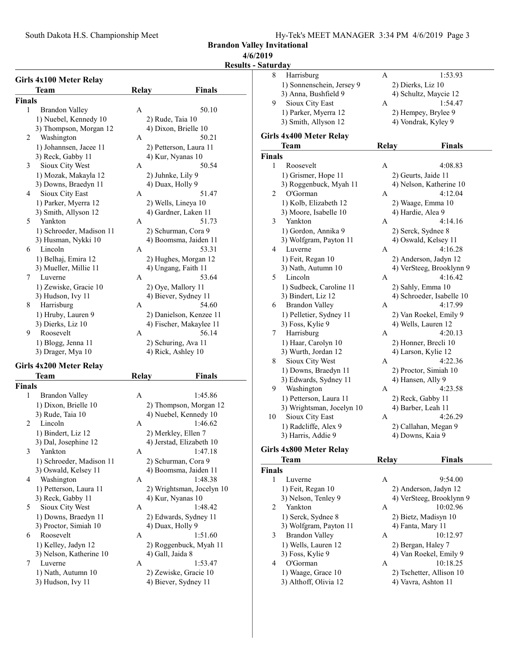South Dakota H.S. Championship Meet Hy-Tek's MEET MANAGER 3:34 PM 4/6/2019 Page 3

1) Sonnenschein, Jersey 9 2) Dierks, Liz 10<br>3) Anna, Bushfield 9 4) Schultz, Mayc

9 Sioux City East A 1:54.47 1) Parker, Myerra 12 2) Hempey, Brylee 9 3) Smith, Allyson 12 4) Vondrak, Kyley 9

Team Relay Finals

3) Nath, Autumn 10 4) VerSteeg, Brooklynn 9 5 Lincoln A 4:16.42 1) Sudbeck, Caroline 11 2) Sahly, Emma 10

1 Roosevelt A 4:08.83 1) Grismer, Hope 11 2) Geurts, Jaide 11 3) Roggenbuck, Myah 11 4) Nelson, Katherine 10 2 O'Gorman A 4:12.04 1) Kolb, Elizabeth 12 2) Waage, Emma 10 3) Moore, Isabelle 10 4) Hardie, Alea 9 3 4:14.16 Yankton A 1) Gordon, Annika 9 2) Serck, Sydnee 8 3) Wolfgram, Payton 11 4) Oswald, Kelsey 11 4 Luverne <br>
1 A 4:16.28<br>
1 A 4:16.28<br>
2 Anderson, Jadyn 12

4) Schultz, Maycie 12

2) Anderson, Jadyn 12

Brandon Valley Invitational

### 4/6/2019

#### Results - Saturday 8 Harrisburg **A** 1:53.93

Finals

Girls 4x400 Meter Relay

|               | Girls 4x100 Meter Relay  |              |                         |
|---------------|--------------------------|--------------|-------------------------|
|               | <b>Team</b>              | Relay        | Finals                  |
| <b>Finals</b> |                          |              |                         |
| 1             | Brandon Valley           | $\mathsf{A}$ | 50.10                   |
|               | 1) Nuebel, Kennedy 10    |              | 2) Rude, Taia 10        |
|               | 3) Thompson, Morgan 12   |              | 4) Dixon, Brielle 10    |
| 2             | Washington               | A            | 50.21                   |
|               | 1) Johannsen, Jacee 11   |              | 2) Petterson, Laura 11  |
|               | 3) Reck, Gabby 11        |              | 4) Kur, Nyanas 10       |
| 3             | Sioux City West          | A            | 50.54                   |
|               | 1) Mozak, Makayla 12     |              | 2) Juhnke, Lily 9       |
|               | 3) Downs, Braedyn 11     |              | 4) Duax, Holly 9        |
| 4             | Sioux City East          | A            | 51.47                   |
|               | 1) Parker, Myerra 12     |              | 2) Wells, Lineya 10     |
|               | 3) Smith, Allyson 12     |              | 4) Gardner, Laken 11    |
| 5             | Yankton                  | A            | 51.73                   |
|               | 1) Schroeder, Madison 11 |              | 2) Schurman, Cora 9     |
|               | 3) Husman, Nykki 10      |              | 4) Boomsma, Jaiden 11   |
| 6             | Lincoln                  | A            | 53.31                   |
|               | 1) Belhaj, Emira 12      |              | 2) Hughes, Morgan 12    |
|               | 3) Mueller, Millie 11    |              | 4) Ungang, Faith 11     |
| 7             | Luverne                  | A            | 53.64                   |
|               | 1) Zewiske, Gracie 10    |              | 2) Oye, Mallory 11      |
|               | 3) Hudson, Ivy 11        |              | 4) Biever, Sydney 11    |
| 8             | Harrisburg               | $\mathsf{A}$ | 54.60                   |
|               | 1) Hruby, Lauren 9       |              | 2) Danielson, Kenzee 11 |
|               | 3) Dierks, Liz 10        |              | 4) Fischer, Makaylee 11 |
| 9             | Roosevelt                | A            | 56.14                   |
|               | 1) Blogg, Jenna 11       |              | 2) Schuring, Ava 11     |
|               | 3) Drager, Mya 10        |              | 4) Rick, Ashley 10      |

# Girls 4x200 Meter Relay

|               | теані                    | INCIA V      | г шањ                     |
|---------------|--------------------------|--------------|---------------------------|
| <b>Finals</b> |                          |              |                           |
| 1             | Brandon Valley           | A            | 1:45.86                   |
|               | 1) Dixon, Brielle 10     |              | 2) Thompson, Morgan 12    |
|               | 3) Rude, Taia 10         |              | 4) Nuebel, Kennedy 10     |
| 2             | Lincoln                  | A            | 1:46.62                   |
|               | 1) Bindert, Liz 12       |              | 2) Merkley, Ellen 7       |
|               | 3) Dal, Josephine 12     |              | 4) Jerstad, Elizabeth 10  |
| 3             | Yankton                  | $\mathsf{A}$ | 1:47.18                   |
|               | 1) Schroeder, Madison 11 |              | 2) Schurman, Cora 9       |
|               | 3) Oswald, Kelsey 11     |              | 4) Boomsma, Jaiden 11     |
| 4             | Washington               | $\mathsf{A}$ | 1:48.38                   |
|               | 1) Petterson, Laura 11   |              | 2) Wrightsman, Jocelyn 10 |
|               | 3) Reck, Gabby 11        |              | 4) Kur, Nyanas 10         |
| 5             | Sioux City West          | $\mathsf{A}$ | 1:48.42                   |
|               | 1) Downs, Braedyn 11     |              | 2) Edwards, Sydney 11     |
|               | 3) Proctor, Simiah 10    |              | 4) Duax, Holly 9          |
| 6             | Roosevelt                | A            | 1:51.60                   |
|               | 1) Kelley, Jadyn 12      |              | 2) Roggenbuck, Myah 11    |
|               | 3) Nelson, Katherine 10  |              | 4) Gall, Jaida 8          |
| 7             | Luverne                  | $\mathsf{A}$ | 1:53.47                   |
|               | 1) Nath, Autumn 10       |              | 2) Zewiske, Gracie 10     |
|               | 3) Hudson, Ivy 11        |              | 4) Biever, Sydney 11      |

| Š                                         |              |                                  |
|-------------------------------------------|--------------|----------------------------------|
| Brandon Valley                            | Α            | 50.10                            |
| 1) Nuebel, Kennedy 10                     |              | 2) Rude, Taia 10                 |
| 3) Thompson, Morgan 12                    |              | 4) Dixon, Brielle 10             |
| Washington                                | Α            | 50.21                            |
| 1) Johannsen, Jacee 11                    |              | 2) Petterson, Laura 11           |
| 3) Reck, Gabby 11                         |              | 4) Kur, Nyanas 10                |
| Sioux City West                           | A            | 50.54                            |
| 1) Mozak, Makayla 12                      |              | 2) Juhnke, Lily 9                |
| 3) Downs, Braedyn 11                      |              | 4) Duax, Holly 9                 |
| Sioux City East                           | А            | 51.47                            |
| 1) Parker, Myerra 12                      |              | 2) Wells, Lineya 10              |
| 3) Smith, Allyson 12                      |              | 4) Gardner, Laken 11             |
| Yankton                                   | А            | 51.73                            |
| 1) Schroeder, Madison 11                  |              | 2) Schurman, Cora 9              |
| 3) Husman, Nykki 10                       |              | 4) Boomsma, Jaiden 11            |
| Lincoln                                   | А            | 53.31                            |
| 1) Belhaj, Emira 12                       |              | 2) Hughes, Morgan 12             |
| 3) Mueller, Millie 11                     |              | 4) Ungang, Faith 11              |
| Luverne                                   | A            | 53.64                            |
| 1) Zewiske, Gracie 10                     |              | 2) Oye, Mallory 11               |
| 3) Hudson, Ivy 11                         |              | 4) Biever, Sydney 11             |
| Harrisburg                                | А            | 54.60                            |
| 1) Hruby, Lauren 9                        |              | 2) Danielson, Kenzee 11          |
| 3) Dierks, Liz 10                         |              | 4) Fischer, Makaylee 11          |
| Roosevelt                                 | A            | 56.14                            |
|                                           |              |                                  |
| 1) Blogg, Jenna 11                        |              | 2) Schuring, Ava 11              |
| 3) Drager, Mya 10                         |              | 4) Rick, Ashley 10               |
| 4x200 Meter Relay                         |              |                                  |
| Team                                      | <b>Relay</b> | <b>Finals</b>                    |
|                                           |              |                                  |
| Brandon Valley                            | Α            | 1:45.86                          |
| 1) Dixon, Brielle 10                      |              | 2) Thompson, Morgan 12           |
| 3) Rude, Taia 10                          |              | 4) Nuebel, Kennedy 10            |
| Lincoln                                   | Α            | 1:46.62                          |
| 1) Bindert, Liz 12                        |              | 2) Merkley, Ellen 7              |
| 3) Dal, Josephine 12                      |              | 4) Jerstad, Elizabeth 10         |
| Yankton                                   | Α            | 1:47.18                          |
| 1) Schroeder, Madison 11                  |              | 2) Schurman, Cora 9              |
| 3) Oswald, Kelsey 11                      |              | 4) Boomsma. Jaiden 11            |
| Washington                                | А            | 1:48.38                          |
| 1) Petterson, Laura 11                    |              | 2) Wrightsman, Jocelyn 10        |
| 3) Reck, Gabby 11                         |              | 4) Kur, Nyanas 10                |
| Sioux City West                           | Α            | 1:48.42                          |
| 1) Downs, Braedyn 11                      |              | 2) Edwards, Sydney 11            |
| 3) Proctor, Simiah 10                     |              |                                  |
|                                           |              |                                  |
|                                           |              | 4) Duax, Holly 9                 |
| Roosevelt<br>$1)$ $K$ alley $I$ odyn $12$ | А            | 1:51.60<br>2) Roggenbuck Myah 11 |

|               | 3) Bindert, Liz 12                                        |              | 4) Schroeder, Isabelle 10 |
|---------------|-----------------------------------------------------------|--------------|---------------------------|
| 6             | <b>Brandon Valley</b>                                     | A            | 4:17.99                   |
|               | 1) Pelletier, Sydney 11                                   |              | 2) Van Roekel, Emily 9    |
|               | 3) Foss, Kylie 9                                          |              | 4) Wells, Lauren 12       |
| 7             | Harrisburg                                                | A            | 4:20.13                   |
|               | 1) Haar, Carolyn 10                                       |              | 2) Honner, Brecli 10      |
|               | 3) Wurth, Jordan 12                                       |              | 4) Larson, Kylie 12       |
| 8             | Sioux City West                                           | $\mathsf{A}$ | 4:22.36                   |
|               | 1) Downs, Braedyn 11                                      |              | 2) Proctor, Simiah 10     |
|               | 3) Edwards, Sydney 11                                     |              | 4) Hansen, Ally 9         |
| 9             | Washington                                                | $\mathsf{A}$ | 4:23.58                   |
|               | 1) Petterson, Laura 11                                    |              | 2) Reck, Gabby 11         |
|               | 3) Wrightsman, Jocelyn 10                                 |              | 4) Barber, Leah 11        |
| 10            | Sioux City East                                           | $\mathsf{A}$ | 4:26.29                   |
|               | 1) Radcliffe, Alex 9                                      |              | 2) Callahan, Megan 9      |
|               | 3) Harris, Addie 9                                        |              | 4) Downs, Kaia 9          |
|               | Girls 4x800 Meter Relay                                   |              |                           |
|               | Team                                                      | Relay        | Finals                    |
| <b>Finals</b> |                                                           |              |                           |
| 1             | Luverne                                                   | A            | 9:54.00                   |
|               | 1) Feit, Regan 10                                         |              | 2) Anderson, Jadyn 12     |
|               | 3) Nelson, Tenley 9                                       |              | 4) VerSteeg, Brooklynn 9  |
| 2             | Yankton                                                   | A            | 10:02.96                  |
|               | 1) Serck, Sydnee 8                                        |              | 2) Bietz, Madisyn 10      |
|               | $\Delta$ $\overline{111}$ $\overline{10}$ $\overline{10}$ |              | $\sqrt{2}$                |

|   |                        | ----- |                          |  |
|---|------------------------|-------|--------------------------|--|
|   | als                    |       |                          |  |
| 1 | Luverne                | A     | 9:54.00                  |  |
|   | 1) Feit, Regan 10      |       | 2) Anderson, Jadyn 12    |  |
|   | 3) Nelson, Tenley 9    |       | 4) VerSteeg, Brooklynn 9 |  |
| 2 | Yankton                | A     | 10:02.96                 |  |
|   | 1) Serck, Sydnee 8     |       | 2) Bietz, Madisyn 10     |  |
|   | 3) Wolfgram, Payton 11 |       | 4) Fanta, Mary 11        |  |
| 3 | Brandon Valley         | A     | 10:12.97                 |  |
|   | 1) Wells, Lauren 12    |       | 2) Bergan, Haley 7       |  |
|   | 3) Foss, Kylie 9       |       | 4) Van Roekel, Emily 9   |  |
| 4 | O'Gorman               | А     | 10:18.25                 |  |
|   | 1) Waage, Grace 10     |       | 2) Tschetter, Allison 10 |  |
|   | 3) Althoff, Olivia 12  |       | 4) Vavra, Ashton 11      |  |
|   |                        |       |                          |  |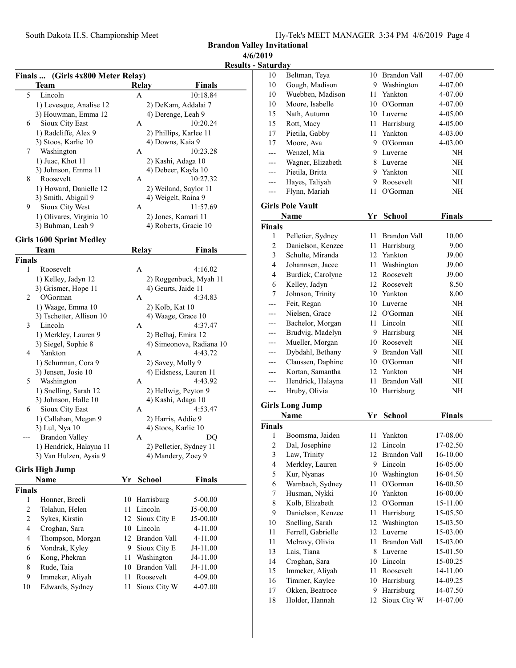Brandon Valley Invitational 4/6/2019

Results - Sa

| Finals  (Girls 4x800 Meter Relay) |                                                   |                     |                                               |                          |  |  |
|-----------------------------------|---------------------------------------------------|---------------------|-----------------------------------------------|--------------------------|--|--|
|                                   | Team                                              | <b>Relay</b>        |                                               | Finals                   |  |  |
| 5                                 | Lincoln                                           | A                   |                                               | 10:18.84                 |  |  |
|                                   | 1) Levesque, Analise 12                           |                     | 2) DeKam, Addalai 7                           |                          |  |  |
|                                   | 3) Houwman, Emma 12                               |                     | 4) Derenge, Leah 9                            |                          |  |  |
| 6                                 | Sioux City East                                   | A                   |                                               | 10:20.24                 |  |  |
|                                   | 1) Radcliffe, Alex 9                              |                     | 2) Phillips, Karlee 11                        |                          |  |  |
|                                   | 3) Stoos, Karlie 10                               |                     | 4) Downs, Kaia 9                              |                          |  |  |
| 7                                 | Washington                                        | А                   |                                               | 10:23.28                 |  |  |
|                                   | 1) Juac, Khot 11                                  |                     | 2) Kashi, Adaga 10                            |                          |  |  |
|                                   | 3) Johnson, Emma 11                               |                     | 4) Debeer, Kayla 10                           |                          |  |  |
| 8                                 | Roosevelt                                         | А                   |                                               | 10:27.32                 |  |  |
|                                   | 1) Howard, Danielle 12                            |                     | 2) Weiland, Saylor 11                         |                          |  |  |
| 9                                 | 3) Smith, Abigail 9<br>Sioux City West            | A                   | 4) Weigelt, Raina 9                           | 11:57.69                 |  |  |
|                                   | 1) Olivares, Virginia 10                          |                     | 2) Jones, Kamari 11                           |                          |  |  |
|                                   | 3) Buhman, Leah 9                                 |                     | 4) Roberts, Gracie 10                         |                          |  |  |
|                                   |                                                   |                     |                                               |                          |  |  |
|                                   | <b>Girls 1600 Sprint Medley</b>                   |                     |                                               |                          |  |  |
|                                   | Team                                              | <b>Relay</b>        |                                               | <b>Finals</b>            |  |  |
| Finals                            |                                                   |                     |                                               |                          |  |  |
| 1                                 | Roosevelt                                         | A                   |                                               | 4:16.02                  |  |  |
|                                   | 1) Kelley, Jadyn 12                               |                     |                                               | 2) Roggenbuck, Myah 11   |  |  |
| 2                                 | 3) Grismer, Hope 11<br>O'Gorman                   | А                   | 4) Geurts, Jaide 11                           | 4:34.83                  |  |  |
|                                   |                                                   |                     |                                               |                          |  |  |
|                                   | 1) Waage, Emma 10<br>3) Tschetter, Allison 10     |                     | 2) Kolb, Kat 10<br>4) Waage, Grace 10         |                          |  |  |
| 3                                 | Lincoln                                           | A                   |                                               | 4:37.47                  |  |  |
|                                   | 1) Merkley, Lauren 9                              |                     | 2) Belhaj, Emira 12                           |                          |  |  |
|                                   | 3) Siegel, Sophie 8                               |                     |                                               | 4) Simeonova, Radiana 10 |  |  |
| 4                                 | Yankton                                           | А                   |                                               | 4:43.72                  |  |  |
|                                   | 1) Schurman, Cora 9                               |                     | 2) Savey, Molly 9                             |                          |  |  |
|                                   | 3) Jensen, Josie 10                               |                     | 4) Eidsness, Lauren 11                        |                          |  |  |
| 5                                 | Washington                                        | А                   |                                               | 4:43.92                  |  |  |
|                                   | 1) Snelling, Sarah 12                             |                     | 2) Hellwig, Peyton 9                          |                          |  |  |
|                                   | 3) Johnson, Halle 10                              |                     | 4) Kashi, Adaga 10                            |                          |  |  |
| 6                                 | Sioux City East                                   | А                   |                                               | 4:53.47                  |  |  |
|                                   | 1) Callahan, Megan 9                              |                     | 2) Harris, Addie 9                            |                          |  |  |
|                                   | 3) Lul, Nya 10                                    |                     | 4) Stoos, Karlie 10                           |                          |  |  |
|                                   | <b>Brandon Valley</b>                             | A                   |                                               | DQ                       |  |  |
|                                   | 1) Hendrick, Halayna 11<br>3) Van Hulzen, Aysia 9 |                     | 2) Pelletier, Sydney 11<br>4) Mandery, Zoey 9 |                          |  |  |
|                                   |                                                   |                     |                                               |                          |  |  |
|                                   | Girls High Jump                                   |                     |                                               |                          |  |  |
|                                   | Name                                              | Yr<br><b>School</b> |                                               | Finals                   |  |  |
| Finals                            |                                                   |                     |                                               |                          |  |  |
| 1                                 | Honner, Brecli                                    | 10                  | Harrisburg                                    | 5-00.00                  |  |  |
| $\overline{c}$                    | Telahun, Helen                                    | Lincoln<br>11       |                                               | J5-00.00                 |  |  |
| $\sqrt{2}$                        | Sykes, Kirstin                                    | 12                  | Sioux City E                                  | J5-00.00                 |  |  |
| 4                                 | Croghan, Sara                                     | 10<br>Lincoln       |                                               | 4-11.00                  |  |  |
| 4                                 | Thompson, Morgan                                  | 12                  | Brandon Vall                                  | 4-11.00                  |  |  |
| 6                                 | Vondrak, Kyley                                    | 9.                  | Sioux City E                                  | J4-11.00                 |  |  |
| 6                                 | Kong, Phekran                                     | 11                  | Washington                                    | J4-11.00                 |  |  |
| 8<br>9                            | Rude, Taia<br>Immeker, Aliyah                     | 10<br>11            | Brandon Vall<br>Roosevelt                     | J4-11.00                 |  |  |
|                                   |                                                   |                     |                                               | 4-09.00                  |  |  |

9 Immeker, Aliyah 11 Roosevelt 4-09.00 10 Edwards, Sydney 11 Sioux City W 4-07.00

| Saturday      |                         |     |                     |               |  |
|---------------|-------------------------|-----|---------------------|---------------|--|
| 10            | Beltman, Teya           |     | 10 Brandon Vall     | 4-07.00       |  |
| 10            | Gough, Madison          |     | 9 Washington        | 4-07.00       |  |
| 10            | Wuebben, Madison        | 11- | Yankton             | 4-07.00       |  |
| 10            | Moore, Isabelle         |     | 10 O'Gorman         | 4-07.00       |  |
| 15            | Nath, Autumn            |     | 10 Luverne          | 4-05.00       |  |
| 15            | Rott, Macy              |     | 11 Harrisburg       | 4-05.00       |  |
| 17            | Pietila, Gabby          |     | 11 Yankton          | 4-03.00       |  |
| 17            | Moore, Ava              |     | 9 O'Gorman          | 4-03.00       |  |
|               | Wenzel, Mia             |     | 9 Luverne           | NH            |  |
| ---           | Wagner, Elizabeth       |     | 8 Luverne           | NH            |  |
| ---           | Pietila, Britta         |     | 9 Yankton           | NH            |  |
| ---           | Hayes, Taliyah          |     | 9 Roosevelt         | NH            |  |
| $---$         | Flynn, Mariah           | 11- | O'Gorman            | NH            |  |
|               | <b>Girls Pole Vault</b> |     |                     |               |  |
|               | Name                    | Yr  | <b>School</b>       | <b>Finals</b> |  |
| <b>Finals</b> |                         |     |                     |               |  |
| 1             | Pelletier, Sydney       |     | 11 Brandon Vall     | 10.00         |  |
| 2             | Danielson, Kenzee       |     | 11 Harrisburg       | 9.00          |  |
| 3             | Schulte, Miranda        |     | 12 Yankton          | J9.00         |  |
| 4             | Johannsen, Jacee        |     | 11 Washington       | J9.00         |  |
| 4             | Burdick, Carolyne       |     | 12 Roosevelt        | J9.00         |  |
| 6             | Kelley, Jadyn           |     | 12 Roosevelt        | 8.50          |  |
| 7             | Johnson, Trinity        |     | 10 Yankton          | 8.00          |  |
| ---           | Feit, Regan             |     | 10 Luverne          | NH            |  |
|               | Nielsen, Grace          |     | 12 O'Gorman         | NH            |  |
|               | Bachelor, Morgan        |     | 11 Lincoln          | NH            |  |
|               | Brudvig, Madelyn        |     | 9 Harrisburg        | NH            |  |
|               | Mueller, Morgan         |     | 10 Roosevelt        | NΗ            |  |
| ---           | Dybdahl, Bethany        |     | 9 Brandon Vall      | NΗ            |  |
|               | Claussen, Daphine       |     | 10 O'Gorman         | NΗ            |  |
|               | Kortan, Samantha        |     | 12 Yankton          | NH            |  |
| ---           | Hendrick, Halayna       | 11  | <b>Brandon Vall</b> | NH            |  |
| ---           | Hruby, Olivia           |     | 10 Harrisburg       | NΗ            |  |
|               | <b>Girls Long Jump</b>  |     |                     |               |  |
|               | Name                    | Yr  | <b>School</b>       | Finals        |  |
| <b>Finals</b> |                         |     |                     |               |  |
| 1             | Boomsma, Jaiden         | 11  | Yankton             | 17-08.00      |  |
| 2             | Dal, Josephine          | 12  | Lincoln             | 17-02.50      |  |
| 3             | Law, Trinity            | 12  | Brandon Vall        | 16-10.00      |  |
| 4             | Merkley, Lauren         | 9   | Lincoln             | 16-05.00      |  |
| 5             | Kur, Nyanas             | 10  | Washington          | 16-04.50      |  |
| 6             | Wambach, Sydney         | 11  | O'Gorman            | 16-00.50      |  |
| 7             | Husman, Nykki           |     | 10 Yankton          | 16-00.00      |  |
| 8             | Kolb, Elizabeth         |     | 12 O'Gorman         | 15-11.00      |  |
| 9             | Danielson, Kenzee       | 11  | Harrisburg          | 15-05.50      |  |
| 10            | Snelling, Sarah         | 12  | Washington          | 15-03.50      |  |
| 11            | Ferrell, Gabrielle      | 12  | Luverne             | 15-03.00      |  |
| 11            | Melravy, Olivia         | 11  | <b>Brandon Vall</b> | 15-03.00      |  |
| 13            | Lais, Tiana             | 8   | Luverne             | 15-01.50      |  |
| 14            | Croghan, Sara           |     | 10 Lincoln          | 15-00.25      |  |
| 15            | Immeker, Aliyah         | 11  | Roosevelt           | 14-11.00      |  |
| 16            | Timmer, Kaylee          | 10  | Harrisburg          | 14-09.25      |  |
| 17            | Okken, Beatroce         | 9   | Harrisburg          | 14-07.50      |  |
| 18            | Holder, Hannah          | 12  | Sioux City W        | 14-07.00      |  |
|               |                         |     |                     |               |  |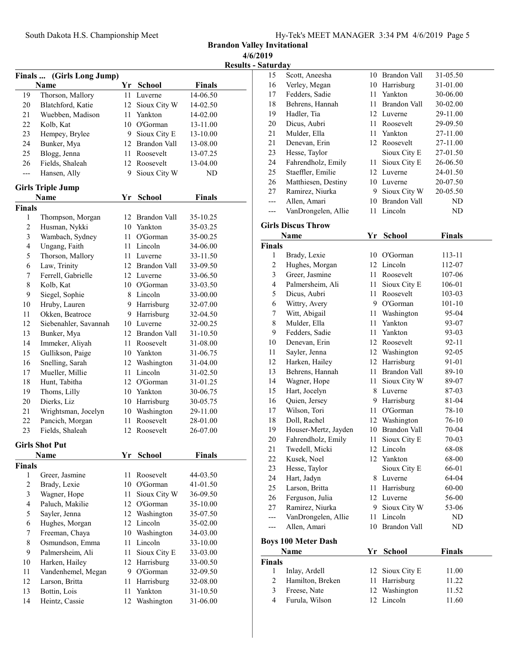Brandon Valley Invitational 4/6/2019

Results - Saturday

|                         |                                      |    |                        |                      | results |
|-------------------------|--------------------------------------|----|------------------------|----------------------|---------|
|                         | Finals  (Girls Long Jump)            |    |                        |                      |         |
|                         | Name                                 | Yr | <b>School</b>          | <b>Finals</b>        |         |
| 19                      | Thorson, Mallory                     | 11 | Luverne                | 14-06.50             |         |
| 20                      | Blatchford, Katie                    | 12 | Sioux City W           | 14-02.50             |         |
| 21                      | Wuebben, Madison                     | 11 | Yankton                | 14-02.00             |         |
| 22                      | Kolb, Kat                            | 10 | O'Gorman               | 13-11.00             |         |
| 23                      | Hempey, Brylee                       | 9. | Sioux City E           | 13-10.00             |         |
| 24                      | Bunker, Mya                          | 12 | Brandon Vall           | 13-08.00             |         |
| 25                      | Blogg, Jenna                         | 11 | Roosevelt              | 13-07.25             |         |
| 26                      | Fields, Shaleah                      | 12 | Roosevelt              | 13-04.00             |         |
| $\overline{a}$          | Hansen, Ally                         | 9  | Sioux City W           | ND                   |         |
|                         | <b>Girls Triple Jump</b>             |    |                        |                      |         |
|                         | Name                                 | Yr | School                 | <b>Finals</b>        |         |
| Finals                  |                                      |    |                        |                      |         |
| 1                       | Thompson, Morgan                     |    | 12 Brandon Vall        | 35-10.25             |         |
| $\overline{c}$          | Husman, Nykki                        |    | 10 Yankton             | 35-03.25             |         |
| $\mathfrak{Z}$          | Wambach, Sydney                      | 11 | O'Gorman               | 35-00.25             |         |
| $\overline{\mathbf{4}}$ | Ungang, Faith                        | 11 | Lincoln                | 34-06.00             |         |
| 5                       | Thorson, Mallory                     | 11 | Luverne                | 33-11.50             |         |
| 6                       | Law, Trinity                         |    | 12 Brandon Vall        | 33-09.50             |         |
| 7                       | Ferrell, Gabrielle                   |    | 12 Luverne             | 33-06.50             |         |
| 8                       | Kolb, Kat                            |    | 10 O'Gorman            | 33-03.50             |         |
| 9                       | Siegel, Sophie                       | 8  | Lincoln                | 33-00.00             |         |
| 10                      | Hruby, Lauren                        | 9  | Harrisburg             | 32-07.00             |         |
| 11                      | Okken, Beatroce                      | 9  | Harrisburg             | 32-04.50             |         |
| 12                      | Siebenahler, Savannah                |    | 10 Luverne             | 32-00.25             |         |
| 13                      | Bunker, Mya                          |    | 12 Brandon Vall        | 31-10.50             |         |
| 14                      | Immeker, Aliyah                      | 11 | Roosevelt              | 31-08.00             |         |
| 15                      | Gullikson, Paige                     | 10 | Yankton                | 31-06.75             |         |
| 16                      | Snelling, Sarah                      | 12 | Washington             | 31-04.00             |         |
| 17                      | Mueller, Millie                      | 11 | Lincoln                | 31-02.50             |         |
| 18                      | Hunt, Tabitha                        |    | 12 O'Gorman            | 31-01.25             |         |
| 19                      | Thoms, Lilly                         | 10 | Yankton                | 30-06.75             |         |
| 20                      | Dierks, Liz                          | 10 | Harrisburg             | 30-05.75             |         |
| 21                      | Wrightsman, Jocelyn                  | 10 | Washington             | 29-11.00             |         |
| 22                      | Pancich, Morgan                      | 11 | Roosevelt              | 28-01.00             |         |
| 23                      | Fields, Shaleah                      | 12 | Roosevelt              | 26-07.00             |         |
|                         |                                      |    |                        |                      |         |
|                         | <b>Girls Shot Put</b>                | Yr |                        | <b>Finals</b>        |         |
| Finals                  | Name                                 |    | <b>School</b>          |                      |         |
| 1                       | Greer, Jasmine                       | 11 | Roosevelt              | 44-03.50             |         |
| $\overline{c}$          | Brady, Lexie                         | 10 | O'Gorman               | 41-01.50             |         |
| 3                       | Wagner, Hope                         | 11 | Sioux City W           | 36-09.50             |         |
| $\overline{4}$          | Paluch, Makilie                      | 12 | O'Gorman               | 35-10.00             |         |
| 5                       | Sayler, Jenna                        | 12 | Washington             | 35-07.50             |         |
| 6                       | Hughes, Morgan                       | 12 | Lincoln                | 35-02.00             |         |
| 7                       | Freeman, Chaya                       | 10 | Washington             | 34-03.00             |         |
| $\,$ $\,$               | Osmundson, Emma                      | 11 | Lincoln                | 33-10.00             |         |
| 9                       |                                      | 11 | Sioux City E           |                      |         |
| 10                      | Palmersheim, Ali                     | 12 |                        | 33-03.00             |         |
| 11                      | Harken, Hailey<br>Vandenhemel, Megan | 9  | Harrisburg<br>O'Gorman | 33-00.50<br>32-09.50 |         |
| 12                      | Larson, Britta                       | 11 | Harrisburg             | 32-08.00             |         |
| 13                      | Bottin, Lois                         | 11 | Yankton                | 31-10.50             |         |
| 14                      | Heintz, Cassie                       | 12 | Washington             | 31-06.00             |         |
|                         |                                      |    |                        |                      |         |

| 15             | Scott, Aneesha                     |    | 10 Brandon Vall     | 31-05.50      |  |
|----------------|------------------------------------|----|---------------------|---------------|--|
| 16             | Verley, Megan                      |    | 10 Harrisburg       | 31-01.00      |  |
| 17             | Fedders, Sadie                     | 11 | Yankton             | 30-06.00      |  |
| 18             | Behrens, Hannah                    | 11 | <b>Brandon Vall</b> | 30-02.00      |  |
| 19             | Hadler, Tia                        |    | 12 Luverne          | 29-11.00      |  |
| 20             | Dicus, Aubri                       | 11 | Roosevelt           | 29-09.50      |  |
| 21             | Mulder, Ella                       | 11 | Yankton             | 27-11.00      |  |
| 21             | Denevan, Erin                      | 12 | Roosevelt           | 27-11.00      |  |
| 23             | Hesse, Taylor                      |    | Sioux City E        | 27-01.50      |  |
| 24             | Fahrendholz, Emily                 | 11 | Sioux City E        | 26-06.50      |  |
| 25             | Staeffler, Emilie                  | 12 | Luverne             | 24-01.50      |  |
| 26             | Matthiesen, Destiny                |    | 10 Luverne          | 20-07.50      |  |
| 27             | Ramirez, Niurka                    | 9  | Sioux City W        | 20-05.50      |  |
| ---            | Allen, Amari                       | 10 | Brandon Vall        | ND            |  |
| ---            | VanDrongelen, Allie                | 11 | Lincoln             | ND            |  |
|                | <b>Girls Discus Throw</b>          |    |                     |               |  |
|                | Name                               | Yr | <b>School</b>       | <b>Finals</b> |  |
| Finals         |                                    |    |                     |               |  |
| 1              | Brady, Lexie                       |    | 10 O'Gorman         | 113-11        |  |
| $\overline{c}$ | Hughes, Morgan                     |    | 12 Lincoln          | 112-07        |  |
| 3              | Greer, Jasmine                     | 11 | Roosevelt           | 107-06        |  |
| 4              | Palmersheim, Ali                   | 11 | Sioux City E        | 106-01        |  |
| 5              | Dicus, Aubri                       | 11 | Roosevelt           | 103-03        |  |
| 6              | Wittry, Avery                      | 9  | O'Gorman            | $101 - 10$    |  |
| 7              | Witt, Abigail                      | 11 | Washington          | 95-04         |  |
| $\,$ $\,$      | Mulder, Ella                       | 11 | Yankton             | 93-07         |  |
| 9              | Fedders, Sadie                     | 11 | Yankton             | 93-03         |  |
| 10             | Denevan, Erin                      |    | 12 Roosevelt        | 92-11         |  |
| 11             | Sayler, Jenna                      | 12 | Washington          | 92-05         |  |
| 12             | Harken, Hailey                     | 12 | Harrisburg          | 91-01         |  |
| 13             | Behrens, Hannah                    | 11 | Brandon Vall        | 89-10         |  |
| 14             | Wagner, Hope                       | 11 | Sioux City W        | 89-07         |  |
| 15             | Hart, Jocelyn                      | 8  | Luverne             | 87-03         |  |
| 16             | Quien, Jersey                      | 9  | Harrisburg          | 81-04         |  |
| 17             | Wilson, Tori                       | 11 | O'Gorman            | 78-10         |  |
| 18             | Doll, Rachel                       | 12 | Washington          | 76-10         |  |
| 19             | Houser-Mertz, Jayden               | 10 | <b>Brandon Vall</b> | 70-04         |  |
| 20             | Fahrendholz, Emily                 | 11 | Sioux City E        | 70-03         |  |
| 21             | Twedell, Micki                     |    | 12 Lincoln          | 68-08         |  |
| 22             | Kusek, Noel                        |    | 12 Yankton          | 68-00         |  |
| 23             | Hesse, Taylor                      |    | Sioux City E        | 66-01         |  |
| 24             | Hart, Jadyn                        | 8  | Luverne             | 64-04         |  |
| 25             | Larson, Britta                     | 11 | Harrisburg          | 60-00         |  |
| 26             | Ferguson, Julia                    | 12 | Luverne             | 56-00         |  |
| 27             | Ramirez, Niurka                    | 9. | Sioux City W        | 53-06         |  |
| ---            | VanDrongelen, Allie                | 11 | Lincoln             | ND            |  |
| ---            | Allen, Amari                       | 10 | <b>Brandon Vall</b> | ND            |  |
|                |                                    |    |                     |               |  |
|                | <b>Boys 100 Meter Dash</b><br>Name | Yr | <b>School</b>       | <b>Finals</b> |  |
| Finals         |                                    |    |                     |               |  |
| 1              | Inlay, Ardell                      | 12 | Sioux City E        | 11.00         |  |
| $\mathbf{2}$   | Hamilton, Breken                   | 11 | Harrisburg          | 11.22         |  |
| 3              | Freese, Nate                       | 12 | Washington          | 11.52         |  |
| $\overline{4}$ | Furula, Wilson                     |    | 12 Lincoln          | 11.60         |  |
|                |                                    |    |                     |               |  |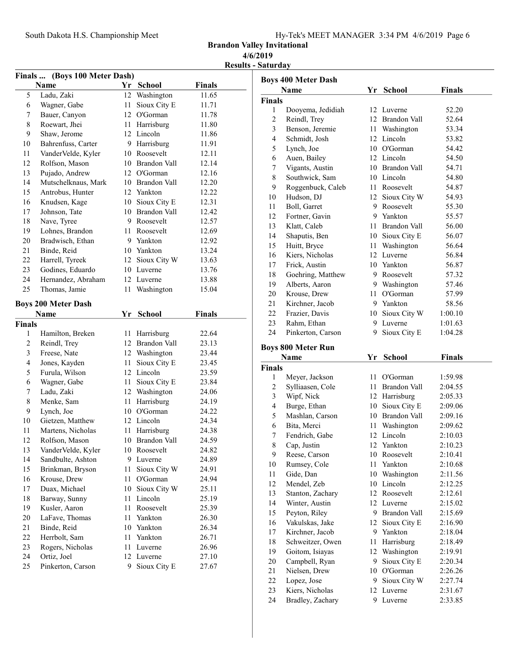Brandon Valley Invitational

# 4/6/2019

|  | <b>Results - Saturday</b> |
|--|---------------------------|
|--|---------------------------|

| Finals  (Boys 100 Meter Dash) |                            |    |                 |               |  |
|-------------------------------|----------------------------|----|-----------------|---------------|--|
|                               | Name                       |    | Yr School       | <b>Finals</b> |  |
| 5                             | Ladu, Zaki                 | 12 | Washington      | 11.65         |  |
| 6                             | Wagner, Gabe               | 11 | Sioux City E    | 11.71         |  |
| 7                             | Bauer, Canyon              | 12 | O'Gorman        | 11.78         |  |
| 8                             | Roewart, Jhei              | 11 | Harrisburg      | 11.80         |  |
| 9                             | Shaw, Jerome               |    | 12 Lincoln      | 11.86         |  |
| 10                            | Bahrenfuss, Carter         |    | 9 Harrisburg    | 11.91         |  |
| 11                            | VanderVelde, Kyler         |    | 10 Roosevelt    | 12.11         |  |
| 12                            | Rolfson, Mason             |    | 10 Brandon Vall | 12.14         |  |
| 13                            | Pujado, Andrew             |    | 12 O'Gorman     | 12.16         |  |
| 14                            | Mutschelknaus, Mark        |    | 10 Brandon Vall | 12.20         |  |
| 15                            | Antrobus, Hunter           |    | 12 Yankton      | 12.22         |  |
| 16                            | Knudsen, Kage              |    | 10 Sioux City E | 12.31         |  |
| 17                            | Johnson, Tate              |    | 10 Brandon Vall | 12.42         |  |
| 18                            | Nave, Tyree                |    | 9 Roosevelt     | 12.57         |  |
| 19                            | Lohnes, Brandon            | 11 | Roosevelt       | 12.69         |  |
| 20                            | Bradwisch, Ethan           |    | 9 Yankton       | 12.92         |  |
| 21                            | Binde, Reid                |    | 10 Yankton      | 13.24         |  |
| 22                            | Harrell, Tyreek            |    | 12 Sioux City W | 13.63         |  |
| 23                            | Godines, Eduardo           |    | 10 Luverne      | 13.76         |  |
| 24                            | Hernandez, Abraham         |    | 12 Luverne      | 13.88         |  |
| 25                            | Thomas, Jamie              | 11 | Washington      | 15.04         |  |
|                               |                            |    |                 |               |  |
|                               | <b>Boys 200 Meter Dash</b> |    |                 |               |  |
|                               | Name                       | Yr | School          | <b>Finals</b> |  |
| Finals                        |                            |    |                 |               |  |
| 1                             | Hamilton, Breken           | 11 | Harrisburg      | 22.64         |  |
|                               |                            |    |                 |               |  |
| $\mathfrak{2}$                | Reindl, Trey               |    | 12 Brandon Vall | 23.13         |  |
| 3                             | Freese, Nate               |    | 12 Washington   | 23.44         |  |
| 4                             | Jones, Kayden              | 11 | Sioux City E    | 23.45         |  |
| 5                             | Furula, Wilson             | 12 | Lincoln         | 23.59         |  |
| 6                             | Wagner, Gabe               | 11 | Sioux City E    | 23.84         |  |
| 7                             | Ladu, Zaki                 |    | 12 Washington   | 24.06         |  |
| 8                             | Menke, Sam                 | 11 | Harrisburg      | 24.19         |  |
| 9                             | Lynch, Joe                 |    | 10 O'Gorman     | 24.22         |  |
| 10                            | Gietzen, Matthew           |    | 12 Lincoln      | 24.34         |  |
| 11                            | Martens, Nicholas          | 11 | Harrisburg      | 24.38         |  |
| 12                            | Rolfson, Mason             |    | 10 Brandon Vall | 24.59         |  |
| 13                            | VanderVelde, Kyler         |    | 10 Roosevelt    | 24.82         |  |
| 14                            | Sandbulte, Ashton          |    | 9 Luverne       | 24.89         |  |
| 15                            | Brinkman, Bryson           | 11 | Sioux City W    | 24.91         |  |
| 16                            | Krouse, Drew               | 11 | O'Gorman        | 24.94         |  |
| 17                            | Duax, Michael              | 10 | Sioux City W    | 25.11         |  |
| 18                            | Barway, Sunny              | 11 | Lincoln         | 25.19         |  |
| 19                            | Kusler, Aaron              | 11 | Roosevelt       | 25.39         |  |
| 20                            | LaFave, Thomas             | 11 | Yankton         | 26.30         |  |
| 21                            | Binde, Reid                | 10 | Yankton         | 26.34         |  |
| 22                            | Herrbolt, Sam              | 11 | Yankton         | 26.71         |  |
| 23                            | Rogers, Nicholas           | 11 | Luverne         | 26.96         |  |
| 24                            | Ortiz, Joel                | 12 | Luverne         | 27.10         |  |

|               | <b>Boys 400 Meter Dash</b>        |         |                          |         |  |
|---------------|-----------------------------------|---------|--------------------------|---------|--|
|               | <b>Name</b>                       |         | Yr School                | Finals  |  |
| <b>Finals</b> |                                   |         |                          |         |  |
| 1             | Dooyema, Jedidiah                 |         | 12 Luverne               | 52.20   |  |
| 2             | Reindl, Trey                      |         | 12 Brandon Vall          | 52.64   |  |
| 3             | Benson, Jeremie                   |         | 11 Washington            | 53.34   |  |
| 4             | Schmidt, Josh                     |         | 12 Lincoln               | 53.82   |  |
| 5             | Lynch, Joe                        |         | 10 O'Gorman              | 54.42   |  |
| 6             | Auen, Bailey                      |         | 12 Lincoln               | 54.50   |  |
| 7             | Vigants, Austin                   |         | 10 Brandon Vall          | 54.71   |  |
| 8             | Southwick, Sam                    |         | 10 Lincoln               | 54.80   |  |
| 9             | Roggenbuck, Caleb                 |         | 11 Roosevelt             | 54.87   |  |
| 10            | Hudson, DJ                        |         | 12 Sioux City W          | 54.93   |  |
| 11            | Boll, Garret                      |         | 9 Roosevelt              | 55.30   |  |
| 12            | Fortner, Gavin                    |         | 9 Yankton                | 55.57   |  |
| 13            | Klatt, Caleb                      | 11      | Brandon Vall             | 56.00   |  |
| 14            | Shaputis, Ben                     |         | 10 Sioux City E          | 56.07   |  |
| 15            | Huitt, Bryce                      |         | 11 Washington            | 56.64   |  |
| 16            | Kiers, Nicholas                   |         | 12 Luverne               | 56.84   |  |
| 17            | Frick, Austin                     |         | 10 Yankton               | 56.87   |  |
| 18            | Goehring, Matthew                 |         | 9 Roosevelt              | 57.32   |  |
| 19            | Alberts, Aaron                    |         | 9 Washington             | 57.46   |  |
| 20            | Krouse, Drew                      | 11      | O'Gorman                 | 57.99   |  |
| 21            | Kirchner, Jacob                   |         | 9 Yankton                | 58.56   |  |
| 22            | Frazier, Davis                    | 10      | Sioux City W             | 1:00.10 |  |
| 23            | Rahm, Ethan                       | 9.      | Luverne                  | 1:01.63 |  |
| 24            | Pinkerton, Carson                 | 9.      | Sioux City E             | 1:04.28 |  |
|               |                                   |         |                          |         |  |
|               | <b>Boys 800 Meter Run</b><br>Name | Yr      | <b>School</b>            | Finals  |  |
| <b>Finals</b> |                                   |         |                          |         |  |
| 1             | Meyer, Jackson                    | 11.     | O'Gorman                 | 1:59.98 |  |
| 2             | Sylliaasen, Cole                  | 11      | Brandon Vall             | 2:04.55 |  |
| 3             | Wipf, Nick                        |         | 12 Harrisburg            | 2:05.33 |  |
| 4             | Burge, Ethan                      |         | 10 Sioux City E          | 2:09.06 |  |
| 5             | Mashlan, Carson                   |         | 10 Brandon Vall          | 2:09.16 |  |
| 6             | Bita, Merci                       | 11      | Washington               | 2:09.62 |  |
| 7             | Fendrich, Gabe                    | 12      | Lincoln                  | 2:10.03 |  |
| 8             | Cap, Justin                       | 12      | Yankton                  | 2:10.23 |  |
| 9             |                                   | 10      | Roosevelt                | 2:10.41 |  |
| 10            | Reese, Carson<br>Rumsey, Cole     | 11      | Yankton                  | 2:10.68 |  |
| 11            | Gide, Dan                         | 10      | Washington               | 2:11.56 |  |
| 12            | Mendel, Zeb                       | 10      | Lincoln                  | 2:12.25 |  |
| 13            | Stanton, Zachary                  |         | 12 Roosevelt             | 2:12.61 |  |
| 14            | Winter, Austin                    |         | 12 Luverne               | 2:15.02 |  |
| 15            | Peyton, Riley                     | 9.      | Brandon Vall             | 2:15.69 |  |
| 16            | Vakulskas, Jake                   | 12      | Sioux City E             | 2:16.90 |  |
| 17            | Kirchner, Jacob                   | 9       | Yankton                  | 2:18.04 |  |
|               | Schweitzer, Owen                  |         |                          |         |  |
| 18            |                                   | 11      | Harrisburg<br>Washington | 2:18.49 |  |
| 19<br>20      | Goitom, Isiayas                   | 12<br>9 |                          | 2:19.91 |  |
| 21            | Campbell, Ryan                    |         | Sioux City E<br>O'Gorman | 2:20.34 |  |
| 22            | Nielsen, Drew                     | 10<br>9 |                          | 2:26.26 |  |
|               | Lopez, Jose                       |         | Sioux City W             | 2:27.74 |  |
| 23            | Kiers, Nicholas                   | 12      | Luverne                  | 2:31.67 |  |

24 Bradley, Zachary 9 Luverne 2:33.85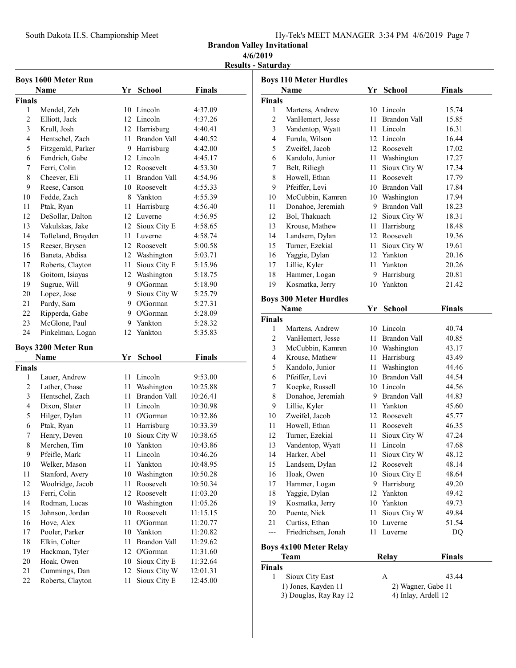South Dakota H.S. Championship Meet

| Hy-Tek's MEET MANAGER 3:34 PM 4/6/2019 Page 7 |  |  |  |
|-----------------------------------------------|--|--|--|
|                                               |  |  |  |

Brandon Valley Invitational

## 4/6/2019

Results - Saturday

|                | <b>Boys 1600 Meter Run</b> |    |                     |               |
|----------------|----------------------------|----|---------------------|---------------|
|                | Name                       | Yr | <b>School</b>       | <b>Finals</b> |
| Finals         |                            |    |                     |               |
| 1              | Mendel, Zeb                |    | 10 Lincoln          | 4:37.09       |
| $\overline{2}$ | Elliott, Jack              |    | 12 Lincoln          | 4:37.26       |
| 3              | Krull, Josh                | 12 | Harrisburg          | 4:40.41       |
| 4              | Hentschel, Zach            | 11 | Brandon Vall        | 4:40.52       |
| 5              | Fitzgerald, Parker         | 9. | Harrisburg          | 4:42.00       |
| 6              | Fendrich, Gabe             | 12 | Lincoln             | 4:45.17       |
| 7              | Ferri, Colin               | 12 | Roosevelt           | 4:53.30       |
| 8              | Cheever, Eli               | 11 | <b>Brandon Vall</b> | 4:54.96       |
| 9              | Reese, Carson              | 10 | Roosevelt           | 4:55.33       |
| 10             | Fedde, Zach                | 8  | Yankton             | 4:55.39       |
| 11             | Ptak, Ryan                 | 11 | Harrisburg          | 4:56.40       |
| 12             | DeSollar, Dalton           | 12 | Luverne             | 4:56.95       |
| 13             | Vakulskas, Jake            | 12 | Sioux City E        | 4:58.65       |
| 14             | Tofteland, Brayden         | 11 | Luverne             | 4:58.74       |
| 15             | Reeser, Brysen             | 12 | Roosevelt           | 5:00.58       |
| 16             | Baneta, Abdisa             | 12 | Washington          | 5:03.71       |
| 17             | Roberts, Clayton           | 11 | Sioux City E        | 5:15.96       |
| 18             | Goitom, Isiayas            | 12 | Washington          | 5:18.75       |
| 19             | Sugrue, Will               | 9  | O'Gorman            | 5:18.90       |
| 20             | Lopez, Jose                | 9. | Sioux City W        | 5:25.79       |
| 21             |                            | 9  |                     |               |
|                | Pardy, Sam                 |    | O'Gorman            | 5:27.31       |
| 22             | Ripperda, Gabe             | 9  | O'Gorman            | 5:28.09       |
| 23             | McGlone, Paul              | 9  | Yankton             | 5:28.32       |
| 24             | Pinkelman, Logan           | 12 | Yankton             | 5:35.83       |
|                | <b>Boys 3200 Meter Run</b> |    |                     |               |
|                | Name                       | Yr | School              | Finals        |
| <b>Finals</b>  |                            |    |                     |               |
| 1              | Lauer, Andrew              | 11 | Lincoln             | 9:53.00       |
| 2              | Lather, Chase              | 11 | Washington          | 10:25.88      |
| 3              | Hentschel, Zach            | 11 | Brandon Vall        | 10:26.41      |
| 4              | Dixon, Slater              | 11 | Lincoln             | 10:30.98      |
| 5              | Hilger, Dylan              | 11 | O'Gorman            | 10:32.86      |
| 6              | Ptak, Ryan                 | 11 | Harrisburg          | 10:33.39      |
| 7              | Henry, Deven               | 10 | Sioux City W        | 10:38.65      |
| 8              | Merchen, Tim               | 10 | Yankton             | 10:43.86      |
| 9              | Pfeifle, Mark              |    | 11 Lincoln          | 10:46.26      |
| 10             | Welker, Mason              | 11 | Yankton             | 10:48.95      |
| 11             | Stanford, Avery            | 10 | Washington          | 10:50.28      |
| 12             | Woolridge, Jacob           | 11 | Roosevelt           | 10:50.34      |
| 13             | Ferri, Colin               | 12 | Roosevelt           | 11:03.20      |
| 14             | Rodman, Lucas              | 10 | Washington          | 11:05.26      |
| 15             | Johnson, Jordan            | 10 | Roosevelt           | 11:15.15      |
| 16             | Hove, Alex                 | 11 | O'Gorman            | 11:20.77      |
| 17             | Pooler, Parker             | 10 | Yankton             | 11:20.82      |
| 18             | Elkin, Colter              | 11 | Brandon Vall        | 11:29.62      |
| 19             | Hackman, Tyler             | 12 | O'Gorman            | 11:31.60      |
| 20             | Hoak, Owen                 | 10 | Sioux City E        | 11:32.64      |
| 21             | Cummings, Dan              | 12 | Sioux City W        | 12:01.31      |
| 22             | Roberts, Clayton           | 11 | Sioux City E        | 12:45.00      |
|                |                            |    |                     |               |

|                     | <b>Boys 110 Meter Hurdles</b> |          |                            |                |
|---------------------|-------------------------------|----------|----------------------------|----------------|
|                     | Name                          | Yr       | <b>School</b>              | <b>Finals</b>  |
| Finals              |                               |          |                            |                |
| 1                   | Martens, Andrew               |          | 10 Lincoln                 | 15.74          |
| $\mathfrak{2}$      | VanHemert, Jesse              | 11       | Brandon Vall               | 15.85          |
| 3                   | Vandentop, Wyatt              | 11       | Lincoln                    | 16.31          |
| 4                   | Furula, Wilson                | 12       | Lincoln                    | 16.44          |
| 5                   | Zweifel, Jacob                | 12       | Roosevelt                  | 17.02          |
| 6                   | Kandolo, Junior               | 11       | Washington                 | 17.27          |
| 7                   | Belt, Riliegh                 | 11       | Sioux City W               | 17.34          |
| 8                   | Howell, Ethan                 | 11       | Roosevelt                  | 17.79          |
| 9                   | Pfeiffer, Levi                |          | 10 Brandon Vall            | 17.84          |
| 10                  | McCubbin, Kamren              |          | 10 Washington              | 17.94          |
| 11                  | Donahoe, Jeremiah             |          | 9 Brandon Vall             | 18.23          |
| 12                  | Bol, Thakuach                 |          | 12 Sioux City W            | 18.31          |
| 13                  | Krouse, Mathew                | 11       | Harrisburg                 | 18.48          |
| 14                  | Landsem, Dylan                |          | 12 Roosevelt               | 19.36          |
| 15                  | Turner, Ezekial               | 11       | Sioux City W               | 19.61          |
| 16                  | Yaggie, Dylan                 | 12       | Yankton                    | 20.16          |
| 17                  | Lillie, Kyler                 | 11       | Yankton                    | 20.26          |
| 18                  | Hammer, Logan                 | 9        | Harrisburg                 | 20.81          |
| 19                  | Kosmatka, Jerry               | 10       | Yankton                    | 21.42          |
|                     |                               |          |                            |                |
|                     | <b>Boys 300 Meter Hurdles</b> |          |                            |                |
|                     | Name                          | Yr       | School                     | <b>Finals</b>  |
| Finals<br>1         |                               |          | 10 Lincoln                 |                |
| $\overline{c}$      | Martens, Andrew               | 11       | Brandon Vall               | 40.74          |
|                     | VanHemert, Jesse              |          |                            | 40.85          |
| 3<br>$\overline{4}$ | McCubbin, Kamren              |          | 10 Washington              | 43.17          |
|                     | Krouse, Mathew                | 11       | Harrisburg                 | 43.49          |
| 5<br>6              | Kandolo, Junior               | 11<br>10 | Washington<br>Brandon Vall | 44.46<br>44.54 |
|                     | Pfeiffer, Levi                |          |                            |                |
| 7                   | Koepke, Russell               | 10<br>9  | Lincoln                    | 44.56          |
| 8<br>9              | Donahoe, Jeremiah             |          | Brandon Vall<br>Yankton    | 44.83          |
|                     | Lillie, Kyler                 | 11       |                            | 45.60          |
| 10                  | Zweifel, Jacob                |          | 12 Roosevelt               | 45.77          |
| 11                  | Howell, Ethan                 | 11       | Roosevelt                  | 46.35          |
| 12                  | Turner, Ezekial               | 11       | Sioux City W               | 47.24          |
| 13                  | Vandentop, Wyatt              | 11       | Lincoln                    | 47.68          |
| 14                  | Harker, Abel                  |          | 11 Sioux City W            | 48.12          |
| 15                  | Landsem, Dylan                |          | 12 Roosevelt               | 48.14          |
| 16                  | Hoak, Owen                    | 10       | Sioux City E               | 48.64          |
| 17                  | Hammer, Logan                 | 9        | Harrisburg                 | 49.20          |
| 18                  | Yaggie, Dylan                 | 12       | Yankton                    | 49.42          |
| 19                  | Kosmatka, Jerry               | 10       | Yankton                    | 49.73          |
| 20                  | Puente, Nick                  | 11       | Sioux City W               | 49.84          |
| 21                  | Curtiss, Ethan                | 10       | Luverne                    | 51.54          |
| ---                 | Friedrichsen, Jonah           | 11       | Luverne                    | DQ             |
|                     | <b>Boys 4x100 Meter Relay</b> |          |                            |                |
|                     | Team                          |          | Relay                      | <b>Finals</b>  |
| Finals              |                               |          |                            |                |
| 1                   | Sioux City East               |          | А                          | 43.44          |
|                     | 1) Jones, Kayden 11           |          | 2) Wagner, Gabe 11         |                |
|                     | 3) Douglas, Ray Ray 12        |          | 4) Inlay, Ardell 12        |                |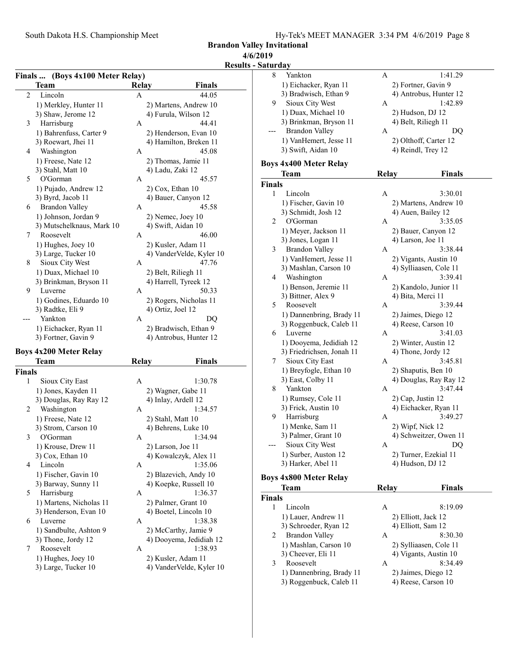Brandon Valley Invitational 4/6/2019

### Results - Sat

### Finals ... (Boys 4x100 Meter Relay) Team Relay Finals 2 Lincoln A 44.05 1) Merkley, Hunter 11 2) Martens, Andrew 10<br>3) Shaw, Jerome 12 4) Furula, Wilson 12 3) Shaw, Jerome 12 3 44.41 Harrisburg A 1) Bahrenfuss, Carter 9 2) Henderson, Evan 10 3) Roewart, Jhei 11 4) Hamilton, Breken 11 4 Washington A 45.08 1) Freese, Nate 12 2) Thomas, Jamie 11 3) Stahl, Matt 10 4) Ladu, Zaki 12 5 45.57 O'Gorman A 1) Pujado, Andrew 12 2) Cox, Ethan 10 3) Byrd, Jacob 11 4) Bauer, Canyon 12 6 45.58 Brandon Valley A 1) Johnson, Jordan 9 2) Nemec, Joey 10 3) Mutschelknaus, Mark 10  $\overline{4}$  4) Swift, Aidan 10<br>Roosevelt  $\overline{4}$  46.00 7 Roosevelt A 1) Hughes, Joey 10 2) Kusler, Adam 11 3) Large, Tucker 10 4) VanderVelde, Kyler 10 8 Sioux City West A 47.76 1) Duax, Michael 10 2) Belt, Riliegh 11 3) Brinkman, Bryson 11 4) Harrell, Tyreek 12 9 50.33 Luverne A 1) Godines, Eduardo 10 2) Rogers, Nicholas 11<br>3) Radtke, Eli 9 4) Ortiz, Joel 12 4) Ortiz, Joel 12 --- DQ Yankton A 1) Eichacker, Ryan 11 2) Bradwisch, Ethan 9 3) Fortner, Gavin 9 4) Antrobus, Hunter 12

#### Boys 4x200 Meter Relay

|               | Team                    | Relay | <b>Finals</b>            |
|---------------|-------------------------|-------|--------------------------|
| <b>Finals</b> |                         |       |                          |
| 1             | Sioux City East         | A     | 1:30.78                  |
|               | 1) Jones, Kayden 11     |       | 2) Wagner, Gabe 11       |
|               | 3) Douglas, Ray Ray 12  |       | 4) Inlay, Ardell 12      |
| 2             | Washington              | A     | 1:34.57                  |
|               | 1) Freese, Nate 12      |       | 2) Stahl, Matt 10        |
|               | 3) Strom, Carson 10     |       | 4) Behrens, Luke 10      |
| 3             | O'Gorman                | A     | 1:34.94                  |
|               | 1) Krouse, Drew 11      |       | 2) Larson, Joe 11        |
|               | 3) Cox, Ethan 10        |       | 4) Kowalczyk, Alex 11    |
| 4             | Lincoln                 | A     | 1:35.06                  |
|               | 1) Fischer, Gavin 10    |       | 2) Blazevich, Andy 10    |
|               | 3) Barway, Sunny 11     |       | 4) Koepke, Russell 10    |
| 5             | Harrisburg              | A     | 1:36.37                  |
|               | 1) Martens, Nicholas 11 |       | 2) Palmer, Grant 10      |
|               | 3) Henderson, Evan 10   |       | 4) Boetel, Lincoln 10    |
| 6             | Luverne                 | A     | 1:38.38                  |
|               | 1) Sandbulte, Ashton 9  |       | 2) McCarthy, Jamie 9     |
|               | 3) Thone, Jordy 12      |       | 4) Dooyema, Jedidiah 12  |
| 7             | Roosevelt               | A     | 1:38.93                  |
|               | 1) Hughes, Joey 10      |       | 2) Kusler, Adam 11       |
|               | 3) Large, Tucker 10     |       | 4) VanderVelde, Kyler 10 |

| Saturday      |                                                      |              |                                            |
|---------------|------------------------------------------------------|--------------|--------------------------------------------|
| 8             | Yankton                                              | A            | 1:41.29                                    |
|               | 1) Eichacker, Ryan 11                                |              | 2) Fortner, Gavin 9                        |
|               | 3) Bradwisch, Ethan 9                                |              | 4) Antrobus, Hunter 12                     |
| 9             | Sioux City West                                      | A            | 1:42.89                                    |
|               | 1) Duax, Michael 10                                  |              | 2) Hudson, DJ 12                           |
|               | 3) Brinkman, Bryson 11                               |              | 4) Belt, Riliegh 11                        |
| $---$         | <b>Brandon Valley</b>                                | А            | DO                                         |
|               | 1) VanHemert, Jesse 11                               |              | 2) Olthoff, Carter 12                      |
|               | 3) Swift, Aidan 10                                   |              | 4) Reindl, Trey 12                         |
|               |                                                      |              |                                            |
|               | <b>Boys 4x400 Meter Relay</b>                        |              |                                            |
|               | Team                                                 | <b>Relay</b> | Finals                                     |
| <b>Finals</b> |                                                      |              |                                            |
| 1             | Lincoln                                              | A            | 3:30.01                                    |
|               | 1) Fischer, Gavin 10                                 |              | 2) Martens, Andrew 10                      |
|               | 3) Schmidt, Josh 12                                  |              | 4) Auen, Bailey 12                         |
| 2             | O'Gorman                                             | A            | 3:35.05                                    |
|               | 1) Meyer, Jackson 11                                 |              | 2) Bauer, Canyon 12                        |
|               | 3) Jones, Logan 11                                   |              | 4) Larson, Joe 11                          |
| 3             | <b>Brandon Valley</b>                                | A            | 3:38.44                                    |
|               | 1) VanHemert, Jesse 11                               |              | 2) Vigants, Austin 10                      |
|               | 3) Mashlan, Carson 10                                |              | 4) Sylliaasen, Cole 11                     |
| 4             | Washington                                           | A            | 3:39.41                                    |
|               | 1) Benson, Jeremie 11                                |              | 2) Kandolo, Junior 11                      |
|               | 3) Bittner, Alex 9                                   |              | 4) Bita, Merci 11                          |
| 5             | Roosevelt                                            | A            | 3:39.44                                    |
|               |                                                      |              |                                            |
|               | 1) Dannenbring, Brady 11<br>3) Roggenbuck, Caleb 11  |              | 2) Jaimes, Diego 12<br>4) Reese, Carson 10 |
| 6             | Luverne                                              | Α            | 3:41.03                                    |
|               |                                                      |              |                                            |
|               | 1) Dooyema, Jedidiah 12<br>3) Friedrichsen, Jonah 11 |              | 2) Winter, Austin 12<br>4) Thone, Jordy 12 |
| 7             | Sioux City East                                      | A            | 3:45.81                                    |
|               |                                                      |              |                                            |
|               | 1) Breyfogle, Ethan 10<br>3) East, Colby 11          |              | 2) Shaputis, Ben 10                        |
| 8             | Yankton                                              | A            | 4) Douglas, Ray Ray 12<br>3:47.44          |
|               |                                                      |              |                                            |
|               | 1) Rumsey, Cole 11                                   |              | 2) Cap, Justin 12                          |
|               | 3) Frick, Austin 10                                  |              | 4) Eichacker, Ryan 11<br>3:49.27           |
| 9             | Harrisburg                                           | Α            |                                            |
|               | 1) Menke, Sam 11                                     |              | 2) Wipf, Nick 12                           |
|               | 3) Palmer, Grant 10                                  |              | 4) Schweitzer, Owen 11                     |
|               | Sioux City West                                      | A            | DQ                                         |
|               | 1) Surber, Auston 12                                 |              | 2) Turner, Ezekial 11                      |
|               | 3) Harker, Abel 11                                   |              | 4) Hudson, DJ 12                           |
|               | <b>Boys 4x800 Meter Relay</b>                        |              |                                            |
|               | Team                                                 | Relay        | Finals                                     |
| Finals        |                                                      |              |                                            |
|               |                                                      |              |                                            |

| ıals         |                          |   |                        |
|--------------|--------------------------|---|------------------------|
|              | Lincoln                  | A | 8:19.09                |
|              | 1) Lauer, Andrew 11      |   | 2) Elliott, Jack 12    |
|              | 3) Schroeder, Ryan 12    |   | 4) Elliott, Sam 12     |
| 2            | Brandon Valley           | A | 8:30.30                |
|              | 1) Mashlan, Carson 10    |   | 2) Sylliaasen, Cole 11 |
|              | 3) Cheever, Eli 11       |   | 4) Vigants, Austin 10  |
| $\mathbf{3}$ | Roosevelt                | А | 8:34.49                |
|              | 1) Dannenbring, Brady 11 |   | 2) Jaimes, Diego 12    |
|              | 3) Roggenbuck, Caleb 11  |   | 4) Reese, Carson 10    |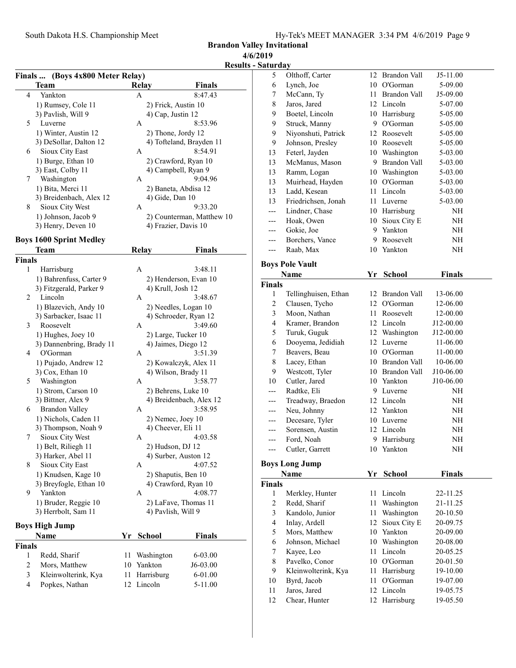Brandon Valley Invitational 4/6/2019

### Results - Saturday

|                | Finals  (Boys 4x800 Meter Relay) |                      |                         |                      |                           |  |
|----------------|----------------------------------|----------------------|-------------------------|----------------------|---------------------------|--|
|                | Team                             |                      | <b>Relay</b>            |                      | <b>Finals</b>             |  |
| 4              | Yankton                          |                      | A                       |                      | 8:47.43                   |  |
|                | 1) Rumsey, Cole 11               |                      |                         | 2) Frick, Austin 10  |                           |  |
|                | 3) Pavlish, Will 9               |                      |                         | 4) Cap, Justin 12    |                           |  |
| 5              | Luverne                          |                      | А                       |                      | 8:53.96                   |  |
|                | 1) Winter, Austin 12             |                      |                         | 2) Thone, Jordy 12   |                           |  |
|                | 3) DeSollar, Dalton 12           |                      |                         |                      | 4) Tofteland, Brayden 11  |  |
| 6              | Sioux City East                  |                      | А                       |                      | 8:54.91                   |  |
|                | 1) Burge, Ethan 10               |                      |                         |                      | 2) Crawford, Ryan 10      |  |
|                | 3) East, Colby 11                |                      |                         | 4) Campbell, Ryan 9  |                           |  |
| 7              | Washington                       |                      | A                       |                      | 9:04.96                   |  |
|                |                                  |                      |                         | 2) Baneta, Abdisa 12 |                           |  |
|                | 1) Bita, Merci 11                |                      |                         |                      |                           |  |
| 8              | 3) Breidenbach, Alex 12          |                      |                         | 4) Gide, Dan 10      | 9:33.20                   |  |
|                | Sioux City West                  |                      | A                       |                      |                           |  |
|                | 1) Johnson, Jacob 9              |                      |                         |                      | 2) Counterman, Matthew 10 |  |
|                | 3) Henry, Deven 10               |                      |                         | 4) Frazier, Davis 10 |                           |  |
|                | <b>Boys 1600 Sprint Medley</b>   |                      |                         |                      |                           |  |
|                | Team                             |                      | <b>Relay</b>            |                      | Finals                    |  |
| Finals         |                                  |                      |                         |                      |                           |  |
| 1              | Harrisburg                       |                      | A                       |                      | 3:48.11                   |  |
|                | 1) Bahrenfuss, Carter 9          |                      |                         |                      | 2) Henderson, Evan 10     |  |
|                | 3) Fitzgerald, Parker 9          |                      |                         | 4) Krull, Josh 12    |                           |  |
| 2              | Lincoln                          |                      | A                       |                      | 3:48.67                   |  |
|                | 1) Blazevich, Andy 10            |                      |                         |                      | 2) Needles, Logan 10      |  |
|                | 3) Sarbacker, Isaac 11           |                      |                         |                      | 4) Schroeder, Ryan 12     |  |
| 3              | Roosevelt                        |                      | A                       |                      | 3:49.60                   |  |
|                | 1) Hughes, Joey 10               |                      |                         | 2) Large, Tucker 10  |                           |  |
|                | 3) Dannenbring, Brady 11         |                      |                         | 4) Jaimes, Diego 12  |                           |  |
| 4              | O'Gorman                         |                      | А                       |                      | 3:51.39                   |  |
|                | 1) Pujado, Andrew 12             |                      |                         |                      | 2) Kowalczyk, Alex 11     |  |
|                | 3) Cox, Ethan 10                 |                      |                         | 4) Wilson, Brady 11  |                           |  |
| 5              | Washington                       |                      | A                       |                      | 3:58.77                   |  |
|                | 1) Strom, Carson 10              | 2) Behrens, Luke 10  |                         |                      |                           |  |
|                | 3) Bittner, Alex 9               |                      | 4) Breidenbach, Alex 12 |                      |                           |  |
| 6              | <b>Brandon Valley</b>            |                      | A                       |                      | 3:58.95                   |  |
|                | 1) Nichols, Caden 11             |                      |                         | 2) Nemec, Joey 10    |                           |  |
|                | 3) Thompson, Noah 9              |                      |                         | 4) Cheever, Eli 11   |                           |  |
| 7              | Sioux City West                  |                      | A                       |                      | 4:03.58                   |  |
|                | 1) Belt, Riliegh 11              |                      |                         | 2) Hudson, DJ 12     |                           |  |
|                | 3) Harker, Abel 11               |                      |                         | 4) Surber, Auston 12 |                           |  |
| 8              | Sioux City East                  |                      | А                       |                      | 4:07.52                   |  |
|                | 1) Knudsen, Kage 10              |                      |                         | 2) Shaputis, Ben 10  |                           |  |
|                | 3) Breyfogle, Ethan 10           | 4) Crawford, Ryan 10 |                         |                      |                           |  |
| 9              | Yankton                          |                      | А                       |                      | 4:08.77                   |  |
|                | 1) Bruder, Reggie 10             |                      |                         |                      | 2) LaFave, Thomas 11      |  |
|                | 3) Herrbolt, Sam 11              |                      |                         | 4) Pavlish, Will 9   |                           |  |
|                | Boys High Jump                   |                      |                         |                      |                           |  |
| Name           |                                  | Yr                   | School                  |                      | <b>Finals</b>             |  |
| Finals         |                                  |                      |                         |                      |                           |  |
| 1              | Redd, Sharif                     | 11                   |                         | Washington           | 6-03.00                   |  |
| $\overline{c}$ | Mors, Matthew                    | 10                   | Yankton                 |                      | J6-03.00                  |  |
| $\mathfrak{Z}$ | Kleinwolterink, Kya              | 11                   | Harrisburg              |                      | 6-01.00                   |  |
| $\overline{4}$ | Popkes, Nathan                   | 12                   | Lincoln                 |                      | 5-11.00                   |  |
|                |                                  |                      |                         |                      |                           |  |

| 5              | Olthoff, Carter        | 12     | Brandon Vall        | J5-11.00      |  |
|----------------|------------------------|--------|---------------------|---------------|--|
| 6              | Lynch, Joe             | 10     | O'Gorman            | 5-09.00       |  |
| 7              | McCann, Ty             | 11     | <b>Brandon Vall</b> | J5-09.00      |  |
| 8              | Jaros, Jared           |        | 12 Lincoln          | 5-07.00       |  |
| 9              | Boetel, Lincoln        |        | 10 Harrisburg       | 5-05.00       |  |
| 9              | Struck, Manny          | 9.     | O'Gorman            | 5-05.00       |  |
| 9              | Niyonshuti, Patrick    | 12     | Roosevelt           | 5-05.00       |  |
| 9              | Johnson, Presley       | 10     | Roosevelt           | 5-05.00       |  |
| 13             | Feterl, Jayden         | 10     | Washington          | 5-03.00       |  |
| 13             | McManus, Mason         | 9      | <b>Brandon Vall</b> | 5-03.00       |  |
| 13             | Ramm, Logan            | 10     | Washington          | 5-03.00       |  |
| 13             | Muirhead, Hayden       | 10     | O'Gorman            | 5-03.00       |  |
| 13             | Ladd, Kesean           | 11     | Lincoln             | 5-03.00       |  |
| 13             | Friedrichsen, Jonah    | 11     | Luverne             | 5-03.00       |  |
| $---$          | Lindner, Chase         | 10     | Harrisburg          | NH            |  |
| ---            | Hoak, Owen             | 10     | Sioux City E        | NH            |  |
| ---            | Gokie, Joe             | 9      | Yankton             | NH            |  |
| ---            | Borchers, Vance        | 9      | Roosevelt           | NH            |  |
| ---            | Raab, Max              | 10     | Yankton             | NH            |  |
|                |                        |        |                     |               |  |
|                | <b>Boys Pole Vault</b> |        |                     |               |  |
|                | Name                   | Yr     | <b>School</b>       | <b>Finals</b> |  |
| <b>Finals</b>  |                        |        |                     |               |  |
| 1              | Tellinghuisen, Ethan   | 12     | Brandon Vall        | 13-06.00      |  |
| 2              | Clausen, Tycho         | 12     | O'Gorman            | 12-06.00      |  |
| 3              | Moon, Nathan           | 11     | Roosevelt           | 12-00.00      |  |
| $\overline{4}$ | Kramer, Brandon        | 12     | Lincoln             | J12-00.00     |  |
| 5              | Turuk, Guguk           | 12     | Washington          | J12-00.00     |  |
| 6              | Dooyema, Jedidiah      | 12     | Luverne             | 11-06.00      |  |
| 7              | Beavers, Beau          |        | 10 O'Gorman         | 11-00.00      |  |
| 8              | Lacey, Ethan           |        | 10 Brandon Vall     | 10-06.00      |  |
| 9              | Westcott, Tyler        | 10     | Brandon Vall        | J10-06.00     |  |
| 10             | Cutler, Jared          | 10     | Yankton             | J10-06.00     |  |
| ---            | Radtke, Eli            | 9      | Luverne             | NH            |  |
| ---            | Treadway, Braedon      | 12     | Lincoln             | NH            |  |
| ---            | Neu, Johnny            | 12     | Yankton             | NH            |  |
| ---            | Decesare, Tyler        | 10     | Luverne             | NH            |  |
| ---            | Sorensen, Austin       | 12     | Lincoln             | NH            |  |
| ---            | Ford, Noah             |        | 9 Harrisburg        | NH            |  |
| ---            | Cutler, Garrett        | $10\,$ | Yankton             | NH            |  |
|                |                        |        |                     |               |  |
|                | <b>Boys Long Jump</b>  |        |                     |               |  |
|                | Name                   | Yr     | <b>School</b>       | <b>Finals</b> |  |
| <b>Finals</b>  |                        |        |                     |               |  |
| 1              | Merkley, Hunter        | 11     | Lincoln             | 22-11.25      |  |
| 2              | Redd, Sharif           | 11     | Washington          | 21-11.25      |  |
| 3              | Kandolo, Junior        | 11     | Washington          | 20-10.50      |  |
| 4              | Inlay, Ardell          | 12     | Sioux City E        | 20-09.75      |  |
| 5              | Mors, Matthew          | 10     | Yankton             | 20-09.00      |  |
| 6              | Johnson, Michael       | 10     | Washington          | 20-08.00      |  |
|                |                        |        |                     |               |  |
| 7              | Kayee, Leo             | 11     | Lincoln             | 20-05.25      |  |
| 8              | Pavelko, Conor         |        | 10 O'Gorman         | 20-01.50      |  |
| 9              | Kleinwolterink, Kya    | 11     | Harrisburg          | 19-10.00      |  |
| 10             | Byrd, Jacob            | 11     | O'Gorman            | 19-07.00      |  |
| 11             | Jaros, Jared           |        | 12 Lincoln          | 19-05.75      |  |
| 12             | Chear, Hunter          |        | 12 Harrisburg       | 19-05.50      |  |